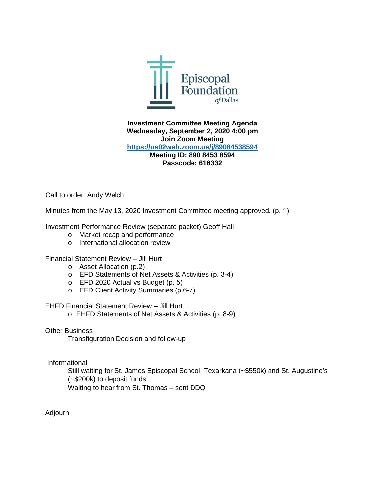

**Investment Committee Meeting Agenda Wednesday, September 2, 2020 4:00 pm Join Zoom Meeting <https://us02web.zoom.us/j/89084538594> Meeting ID: 890 8453 8594 Passcode: 616332**

Call to order: Andy Welch

Minutes from the May 13, 2020 Investment Committee meeting approved. (p. 1)

Investment Performance Review (separate packet) Geoff Hall

- o Market recap and performance
- o International allocation review

### Financial Statement Review – Jill Hurt

- o Asset Allocation (p.2)
- o EFD Statements of Net Assets & Activities (p. 3-4)
- o EFD 2020 Actual vs Budget (p. 5)
- o EFD Client Activity Summaries (p.6-7)

### EHFD Financial Statement Review – Jill Hurt

o EHFD Statements of Net Assets & Activities (p. 8-9)

Other Business

Transfiguration Decision and follow-up

Informational

Still waiting for St. James Episcopal School, Texarkana (~\$550k) and St. Augustine's (~\$200k) to deposit funds.

Waiting to hear from St. Thomas – sent DDQ

Adjourn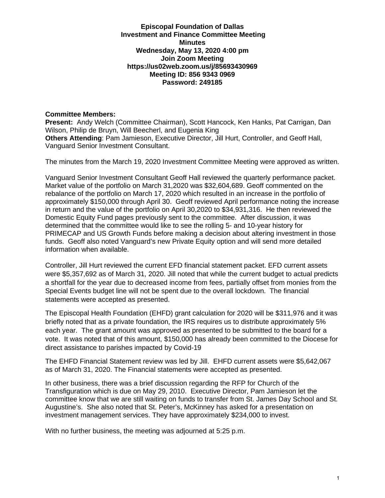**Episcopal Foundation of Dallas Investment and Finance Committee Meeting Minutes Wednesday, May 13, 2020 4:00 pm Join Zoom Meeting https://us02web.zoom.us/j/85693430969 Meeting ID: 856 9343 0969 Password: 249185** 

### **Committee Members:**

**Present:** Andy Welch (Committee Chairman), Scott Hancock, Ken Hanks, Pat Carrigan, Dan Wilson, Philip de Bruyn, Will Beecherl, and Eugenia King **Others Attending**: Pam Jamieson, Executive Director, Jill Hurt, Controller, and Geoff Hall, Vanguard Senior Investment Consultant.

The minutes from the March 19, 2020 Investment Committee Meeting were approved as written.

Vanguard Senior Investment Consultant Geoff Hall reviewed the quarterly performance packet. Market value of the portfolio on March 31,2020 was \$32,604,689. Geoff commented on the rebalance of the portfolio on March 17, 2020 which resulted in an increase in the portfolio of approximately \$150,000 through April 30. Geoff reviewed April performance noting the increase in return and the value of the portfolio on April 30,2020 to \$34,931,316. He then reviewed the Domestic Equity Fund pages previously sent to the committee. After discussion, it was determined that the committee would like to see the rolling 5- and 10-year history for PRIMECAP and US Growth Funds before making a decision about altering investment in those funds. Geoff also noted Vanguard's new Private Equity option and will send more detailed information when available.

Controller, Jill Hurt reviewed the current EFD financial statement packet. EFD current assets were \$5,357,692 as of March 31, 2020. Jill noted that while the current budget to actual predicts a shortfall for the year due to decreased income from fees, partially offset from monies from the Special Events budget line will not be spent due to the overall lockdown. The financial statements were accepted as presented.

The Episcopal Health Foundation (EHFD) grant calculation for 2020 will be \$311,976 and it was briefly noted that as a private foundation, the IRS requires us to distribute approximately 5% each year. The grant amount was approved as presented to be submitted to the board for a vote. It was noted that of this amount, \$150,000 has already been committed to the Diocese for direct assistance to parishes impacted by Covid-19

The EHFD Financial Statement review was led by Jill. EHFD current assets were \$5,642,067 as of March 31, 2020. The Financial statements were accepted as presented.

In other business, there was a brief discussion regarding the RFP for Church of the Transfiguration which is due on May 29, 2010. Executive Director, Pam Jamieson let the committee know that we are still waiting on funds to transfer from St. James Day School and St. Augustine's. She also noted that St. Peter's, McKinney has asked for a presentation on investment management services. They have approximately \$234,000 to invest.

With no further business, the meeting was adjourned at 5:25 p.m.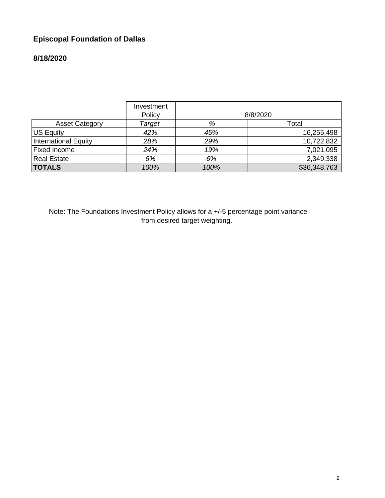# **Episcopal Foundation of Dallas**

# **8/18/2020**

|                             | Investment<br>Policy |      | 8/8/2020     |
|-----------------------------|----------------------|------|--------------|
| <b>Asset Category</b>       | Target               | %    | Total        |
| US Equity                   | 42%                  | 45%  | 16,255,498   |
| <b>International Equity</b> | 28%                  | 29%  | 10,722,832   |
| <b>Fixed Income</b>         | 24%                  | 19%  | 7,021,095    |
| <b>Real Estate</b>          | 6%                   | 6%   | 2,349,338    |
| <b>TOTALS</b>               | 100%                 | 100% | \$36,348,763 |

Note: The Foundations Investment Policy allows for a +/-5 percentage point variance from desired target weighting.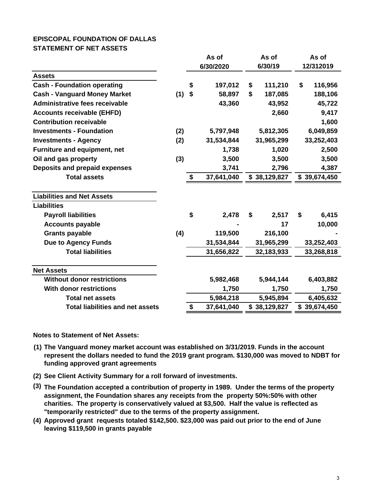### **EPISCOPAL FOUNDATION OF DALLAS STATEMENT OF NET ASSETS**

|                                         | As of<br>6/30/2020 |    |            | As of<br>6/30/19 | As of<br>12/312019 |              |  |
|-----------------------------------------|--------------------|----|------------|------------------|--------------------|--------------|--|
| <b>Assets</b>                           |                    |    |            |                  |                    |              |  |
| <b>Cash - Foundation operating</b>      |                    | \$ | 197,012    | \$<br>111,210    | \$                 | 116,956      |  |
| <b>Cash - Vanguard Money Market</b>     | (1)                | \$ | 58,897     | \$<br>187,085    |                    | 188,106      |  |
| <b>Administrative fees receivable</b>   |                    |    | 43,360     | 43,952           |                    | 45,722       |  |
| <b>Accounts receivable (EHFD)</b>       |                    |    |            | 2,660            |                    | 9,417        |  |
| <b>Contribution receivable</b>          |                    |    |            |                  |                    | 1,600        |  |
| <b>Investments - Foundation</b>         | (2)                |    | 5,797,948  | 5,812,305        |                    | 6,049,859    |  |
| <b>Investments - Agency</b>             | (2)                |    | 31,534,844 | 31,965,299       |                    | 33,252,403   |  |
| <b>Furniture and equipment, net</b>     |                    |    | 1,738      | 1,020            |                    | 2,500        |  |
| Oil and gas property                    | (3)                |    | 3,500      | 3,500            |                    | 3,500        |  |
| <b>Deposits and prepaid expenses</b>    |                    |    | 3,741      | 2,796            |                    | 4,387        |  |
| <b>Total assets</b>                     |                    | \$ | 37,641,040 | \$38,129,827     |                    | \$39,674,450 |  |
| <b>Liabilities and Net Assets</b>       |                    |    |            |                  |                    |              |  |
| <b>Liabilities</b>                      |                    |    |            |                  |                    |              |  |
| <b>Payroll liabilities</b>              |                    | \$ | 2,478      | \$<br>2,517      | \$                 | 6,415        |  |
| <b>Accounts payable</b>                 |                    |    |            | 17               |                    | 10,000       |  |
| <b>Grants payable</b>                   | (4)                |    | 119,500    | 216,100          |                    |              |  |
| <b>Due to Agency Funds</b>              |                    |    | 31,534,844 | 31,965,299       |                    | 33,252,403   |  |
| <b>Total liabilities</b>                |                    |    | 31,656,822 | 32,183,933       |                    | 33,268,818   |  |
| <b>Net Assets</b>                       |                    |    |            |                  |                    |              |  |
| <b>Without donor restrictions</b>       |                    |    | 5,982,468  | 5,944,144        |                    | 6,403,882    |  |
| <b>With donor restrictions</b>          |                    |    | 1,750      | 1,750            |                    | 1,750        |  |
| <b>Total net assets</b>                 |                    |    | 5,984,218  | 5,945,894        |                    | 6,405,632    |  |
| <b>Total liabilities and net assets</b> |                    | \$ | 37,641,040 | \$38,129,827     |                    | \$39,674,450 |  |

**Notes to Statement of Net Assets:**

- **(1) The Vanguard money market account was established on 3/31/2019. Funds in the account represent the dollars needed to fund the 2019 grant program. \$130,000 was moved to NDBT for funding approved grant agreements**
- **(2) See Client Activity Summary for a roll forward of investments.**
- **(3) The Foundation accepted a contribution of property in 1989. Under the terms of the property assignment, the Foundation shares any receipts from the property 50%:50% with other charities. The property is conservatively valued at \$3,500. Half the value is reflected as "temporarily restricted" due to the terms of the property assignment.**
- **(4) Approved grant requests totaled \$142,500. \$23,000 was paid out prior to the end of June leaving \$119,500 in grants payable**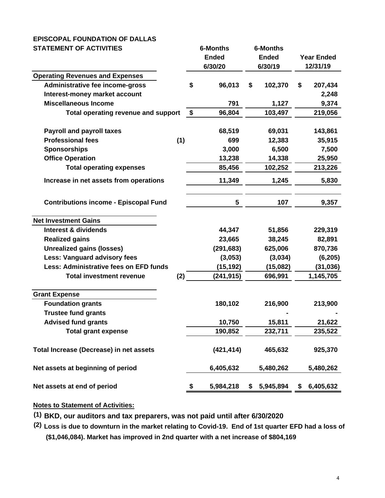### **EPISCOPAL FOUNDATION OF DALLAS STATEMENT OF ACTIVITIES 6-Months 6-Months**

| טשוווטא וט וושושבור                          |    | u-wiui iui s |                 |                   |           |  |
|----------------------------------------------|----|--------------|-----------------|-------------------|-----------|--|
|                                              |    | <b>Ended</b> | <b>Ended</b>    | <b>Year Ended</b> |           |  |
|                                              |    | 6/30/20      | 6/30/19         |                   | 12/31/19  |  |
| <b>Operating Revenues and Expenses</b>       |    |              |                 |                   |           |  |
| Administrative fee income-gross              | \$ | 96,013       | \$<br>102,370   | \$                | 207,434   |  |
| Interest-money market account                |    |              |                 |                   | 2,248     |  |
| <b>Miscellaneous Income</b>                  |    | 791          | 1,127           |                   | 9,374     |  |
| <b>Total operating revenue and support</b>   | \$ | 96,804       | 103,497         |                   | 219,056   |  |
| <b>Payroll and payroll taxes</b>             |    | 68,519       | 69,031          |                   | 143,861   |  |
| <b>Professional fees</b><br>(1)              |    | 699          | 12,383          |                   | 35,915    |  |
| <b>Sponsorships</b>                          |    | 3,000        | 6,500           |                   | 7,500     |  |
| <b>Office Operation</b>                      |    | 13,238       | 14,338          |                   | 25,950    |  |
| <b>Total operating expenses</b>              |    | 85,456       | 102,252         |                   | 213,226   |  |
| Increase in net assets from operations       |    | 11,349       | 1,245           |                   | 5,830     |  |
| <b>Contributions income - Episcopal Fund</b> |    | 5            | 107             |                   | 9,357     |  |
| <b>Net Investment Gains</b>                  |    |              |                 |                   |           |  |
| <b>Interest &amp; dividends</b>              |    | 44,347       | 51,856          |                   | 229,319   |  |
| <b>Realized gains</b>                        |    | 23,665       | 38,245          |                   | 82,891    |  |
| <b>Unrealized gains (losses)</b>             |    | (291, 683)   | 625,006         |                   | 870,736   |  |
| Less: Vanguard advisory fees                 |    | (3,053)      | (3,034)         |                   | (6, 205)  |  |
| Less: Administrative fees on EFD funds       |    | (15, 192)    | (15,082)        |                   | (31,036)  |  |
| <b>Total investment revenue</b><br>(2)       |    | (241, 915)   | 696,991         |                   | 1,145,705 |  |
| <b>Grant Expense</b>                         |    |              |                 |                   |           |  |
| <b>Foundation grants</b>                     |    | 180,102      | 216,900         |                   | 213,900   |  |
| <b>Trustee fund grants</b>                   |    |              |                 |                   |           |  |
| <b>Advised fund grants</b>                   |    | 10,750       | 15,811          |                   | 21,622    |  |
| <b>Total grant expense</b>                   |    | 190,852      | 232,711         |                   | 235,522   |  |
| Total Increase (Decrease) in net assets      |    | (421, 414)   | 465,632         |                   | 925,370   |  |
| Net assets at beginning of period            |    | 6,405,632    | 5,480,262       |                   | 5,480,262 |  |
| Net assets at end of period                  | \$ | 5,984,218    | \$<br>5,945,894 | \$                | 6,405,632 |  |

## **Notes to Statement of Activities:**

**(1) BKD, our auditors and tax preparers, was not paid until after 6/30/2020**

**(2) Loss is due to downturn in the market relating to Covid-19. End of 1st quarter EFD had a loss of (\$1,046,084). Market has improved in 2nd quarter with a net increase of \$804,169**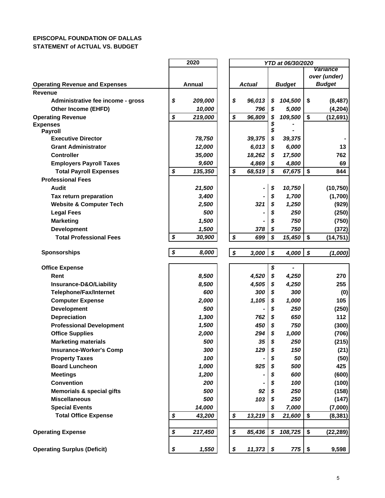### **EPISCOPAL FOUNDATION OF DALLAS STATEMENT of ACTUAL VS. BUDGET**

|                                       | 2020 |         |  |    |        |          |               | YTD at 06/30/2020 |                 |  |  |  |  |  |
|---------------------------------------|------|---------|--|----|--------|----------|---------------|-------------------|-----------------|--|--|--|--|--|
|                                       |      |         |  |    |        |          |               |                   | <b>Variance</b> |  |  |  |  |  |
|                                       |      |         |  |    |        |          |               | over (under)      |                 |  |  |  |  |  |
| <b>Operating Revenue and Expenses</b> |      | Annual  |  |    | Actual |          | <b>Budget</b> |                   | <b>Budget</b>   |  |  |  |  |  |
| Revenue                               |      |         |  |    |        |          |               |                   |                 |  |  |  |  |  |
| Administrative fee income - gross     | \$   | 209,000 |  | \$ | 96,013 | \$       | 104,500       | \$                | (8, 487)        |  |  |  |  |  |
| <b>Other Income (EHFD)</b>            |      | 10,000  |  |    | 796    | \$       | 5,000         |                   | (4, 204)        |  |  |  |  |  |
| <b>Operating Revenue</b>              | \$   | 219,000 |  | \$ | 96,809 | \$<br>\$ | 109,500       | \$                | (12,691)        |  |  |  |  |  |
| <b>Expenses</b><br><b>Payroll</b>     |      |         |  |    |        | \$       |               |                   |                 |  |  |  |  |  |
| <b>Executive Director</b>             |      | 78,750  |  |    | 39,375 | \$       | 39,375        |                   |                 |  |  |  |  |  |
| <b>Grant Administrator</b>            |      | 12,000  |  |    | 6,013  | \$       | 6,000         |                   | 13              |  |  |  |  |  |
| <b>Controller</b>                     |      | 35,000  |  |    | 18,262 | \$       | 17,500        |                   | 762             |  |  |  |  |  |
| <b>Employers Payroll Taxes</b>        |      | 9,600   |  |    | 4,869  | \$       | 4,800         |                   | 69              |  |  |  |  |  |
| <b>Total Payroll Expenses</b>         | \$   | 135,350 |  | \$ | 68,519 | S        | 67,675        | \$                | 844             |  |  |  |  |  |
| <b>Professional Fees</b>              |      |         |  |    |        |          |               |                   |                 |  |  |  |  |  |
| <b>Audit</b>                          |      | 21,500  |  |    |        | \$       | 10,750        |                   | (10, 750)       |  |  |  |  |  |
| Tax return preparation                |      | 3,400   |  |    |        | \$       | 1,700         |                   | (1,700)         |  |  |  |  |  |
| <b>Website &amp; Computer Tech</b>    |      | 2,500   |  |    | 321    | \$       | 1,250         |                   | (929)           |  |  |  |  |  |
| <b>Legal Fees</b>                     |      | 500     |  |    |        | \$       | 250           |                   | (250)           |  |  |  |  |  |
| <b>Marketing</b>                      |      | 1,500   |  |    |        | \$       | 750           |                   | (750)           |  |  |  |  |  |
| <b>Development</b>                    |      | 1,500   |  |    | 378    | \$       | 750           |                   | (372)           |  |  |  |  |  |
| <b>Total Professional Fees</b>        | \$   | 30,900  |  | \$ | 699    | \$       | 15,450        | \$                | (14, 751)       |  |  |  |  |  |
| <b>Sponsorships</b>                   | \$   | 8,000   |  | \$ | 3,000  | \$       | 4,000         | \$                | (1,000)         |  |  |  |  |  |
| <b>Office Expense</b>                 |      |         |  |    |        | \$       |               |                   |                 |  |  |  |  |  |
| Rent                                  |      | 8,500   |  |    | 4,520  | \$       | 4,250         |                   | 270             |  |  |  |  |  |
| Insurance-D&O/Liability               |      | 8,500   |  |    | 4,505  | \$       | 4,250         |                   | 255             |  |  |  |  |  |
| <b>Telephone/Fax/Internet</b>         |      | 600     |  |    | 300    | \$       | 300           |                   | (0)             |  |  |  |  |  |
| <b>Computer Expense</b>               |      | 2,000   |  |    | 1,105  | \$       | 1,000         |                   | 105             |  |  |  |  |  |
| <b>Development</b>                    |      | 500     |  |    |        | \$       | 250           |                   | (250)           |  |  |  |  |  |
| <b>Depreciation</b>                   |      | 1,300   |  |    | 762    | \$       | 650           |                   | 112             |  |  |  |  |  |
| <b>Professional Development</b>       |      | 1,500   |  |    | 450    | \$       | 750           |                   | (300)           |  |  |  |  |  |
| <b>Office Supplies</b>                |      | 2,000   |  |    | 294    | \$       | 1,000         |                   | (706)           |  |  |  |  |  |
| <b>Marketing materials</b>            |      | 500     |  |    | 35     | \$       | 250           |                   | (215)           |  |  |  |  |  |
| <b>Insurance-Worker's Comp</b>        |      | 300     |  |    | 129    | \$       | 150           |                   | (21)            |  |  |  |  |  |
| <b>Property Taxes</b>                 |      | 100     |  |    |        |          | 50            |                   | (50)            |  |  |  |  |  |
| <b>Board Luncheon</b>                 |      | 1,000   |  |    | 925    |          | 500           |                   | 425             |  |  |  |  |  |
| <b>Meetings</b>                       |      | 1,200   |  |    |        | \$       | 600           |                   | (600)           |  |  |  |  |  |
| <b>Convention</b>                     |      | 200     |  |    |        |          | 100           |                   | (100)           |  |  |  |  |  |
| <b>Memorials &amp; special gifts</b>  |      | 500     |  |    | 92     | \$       | 250           |                   | (158)           |  |  |  |  |  |
| <b>Miscellaneous</b>                  |      | 500     |  |    | 103    | S        | 250           |                   | (147)           |  |  |  |  |  |
| <b>Special Events</b>                 |      | 14,000  |  |    |        |          | 7,000         |                   | (7,000)         |  |  |  |  |  |
| <b>Total Office Expense</b>           | \$   | 43,200  |  | \$ | 13,219 | \$       | 21,600        | \$                | (8, 381)        |  |  |  |  |  |
| <b>Operating Expense</b>              | \$   | 217,450 |  | \$ | 85,436 | \$       | 108,725       | \$                | (22, 289)       |  |  |  |  |  |
|                                       |      |         |  |    |        |          |               |                   |                 |  |  |  |  |  |
| <b>Operating Surplus (Deficit)</b>    | \$   | 1,550   |  | \$ | 11,373 | \$       | 775           | \$                | 9,598           |  |  |  |  |  |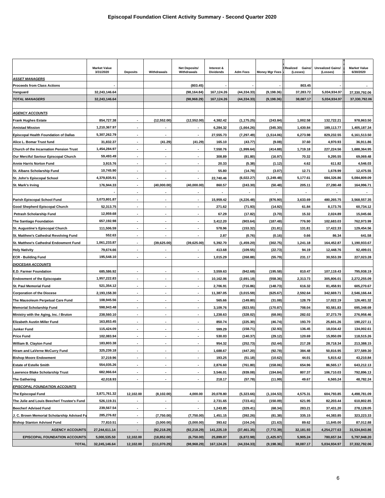| <b>Market Value</b><br><b>Net Deposits/</b><br>Interest &<br>Realized<br>Gains/<br><b>Unrealized Gains/</b><br><b>Market Value</b><br>3/31/2020<br>Withdrawals<br>Withdrawals<br><b>Dividends</b><br>6/30/2020<br><b>Deposits</b><br><b>Adm Fees</b><br><b>Money Mgr Fees</b><br>(Losses)<br>(Losses)<br><b>ASSET MANAGERS</b><br><b>Proceeds from Class Actions</b><br>(803.45)<br>803.45<br>(44, 334.33)<br>(9, 198.36)<br>37,283.72<br>Vanguard<br>32,243,146.64<br>(98, 164.84)<br>167,124.26<br>5,034,934.97<br>37,330,792.06<br><b>TOTAL MANAGERS</b><br>(98,968.29)<br>167,124.26<br>(44, 334.33)<br>(9, 198.36)<br>38,087.17<br>5,034,934.97<br>37,330,792.06<br>32,243,146.64<br><b>AGENCY ACCOUNTS</b><br>978,863.50<br><b>Frank Hughes Estate</b><br>854,727.38<br>(12, 552.00)<br>(12, 552.00)<br>4,382.42<br>(1, 175.25)<br>(243.84)<br>1,002.58<br>132,722.21<br>1,210,367.97<br><b>Amistad Mission</b><br>6,284.32<br>(1,664.26)<br>(345.30)<br>1,430.84<br>189,113.77<br>1,405,187.34<br><b>Episcopal Health Foundation of Dallas</b><br>5,307,262.79<br>27,555.73<br>(7, 297.49)<br>(1,514.06)<br>6,273.98<br>829,232.55<br>6,161,513.50<br>$\sim$<br>$\blacksquare$<br>$\blacksquare$<br>31,832.37<br>Alice L. Bomar Trust fund<br>(41.29)<br>(41.29)<br>165.10<br>(43.77)<br>(9.08)<br>37.60<br>4,970.93<br>36,911.86<br>Church of the Incarnation Pension Trust<br>1,454,284.97<br>7,550.76<br>(1,999.64)<br>(414.88)<br>1,719.18<br>227,224.56<br>1,688,364.95<br>$\blacksquare$<br>٠<br>$\blacksquare$<br>59,493.49<br>308.89<br>(81.80)<br>(16.97)<br>70.32<br>9,295.55<br>69,069.48<br>Our Merciful Saviour Episcopal Church<br>$\overline{\phantom{a}}$<br>$\blacksquare$<br>4.62<br><b>Annie Harris Norton Fund</b><br>3,915.76<br>20.33<br>(5.38)<br>(1.12)<br>611.82<br>4,546.03<br>10,745.90<br>55.80<br>(3.07)<br>12.71<br>1,678.99<br>12,475.55<br>St. Albans Scholarship Fund<br>(14.78)<br>22,740.46<br>St. John's Episcopal School<br>4,379,835.91<br>(6,022.27)<br>(1, 249.48)<br>5,177.61<br>684,326.86<br>5,084,809.09<br>176,944.33<br>St. Mark's Irving<br>(40,000.00<br>(40,000.00)<br>860.57<br>(243.30)<br>(50.48)<br>205.11<br>27,280.48<br>164,996.71<br>۰<br>$\blacksquare$<br>$\blacksquare$<br>$\blacksquare$<br>٠<br>3,073,801.87<br>480,265.75<br>3,568,557.35<br>Parish Episcopal School Fund<br>15,959.42<br>(4, 226.48)<br>(876.90)<br>3,633.69<br>52,313.75<br>271.62<br>(14.92)<br>61.84<br>8,173.76<br>60,734.12<br>Good Shepherd Episcopal Church<br>$\sim$<br>$\blacksquare$<br>٠<br>(71.93)<br>12,959.68<br>(3.70)<br>15.32<br>2,024.89<br>15,045.66<br>67.29<br>(17.82)<br>Petrash Scholarship Fund<br>$\blacksquare$<br>$\blacksquare$<br><b>The Santiago Foundation</b><br>657,192.98<br>3,412.20<br>(903.64)<br>(187.48)<br>776.90<br>102,683.03<br>762,973.99<br>111,506.59<br>578.96<br>(153.32)<br>(31.81)<br>131.81<br>17,422.33<br>129,454.56<br>St. Augustine's Episcopal Church<br>$\blacksquare$<br>St. Matthew's Cathedral Revolving Fund<br>552.63<br>2.87<br>(0.76)<br>(0.16)<br>0.66<br>86.34<br>641.58<br>$\blacksquare$<br>1,061,233.87<br>5,392.70<br>(1, 459.20)<br>(302.75)<br>1,190,933.67<br>St. Matthew's Cathedral Endowment Fund<br>(39, 625.00)<br>(39, 625.00)<br>1,241.18<br>164,452.87<br>413.68<br>(109.55)<br>(22.73)<br>12,448.76<br>79,674.66<br>94.19<br>92,499.01<br><b>Holy Nativity</b><br>195,548.10<br>1,015.29<br>(55.79)<br>231.17<br><b>ECR - Building Fund</b><br>(268.88)<br>30,553.39<br>227,023.28<br><b>DIOCESAN ACCOUNTS</b><br>685,586.92<br>(942.68)<br>(195.58)<br>810.47<br>107,119.43<br>795,938.19<br>E.D. Farmer Foundation<br>3,559.63<br><b>Endowment of the Episcopate</b><br>1,957,222.83<br>10,162.06<br>(2,691.18)<br>(558.36)<br>2,313.73<br>305,806.01<br>2,272,255.09<br>521,354.12<br>81,458.91<br>605,270.67<br>2,706.91<br>(716.86)<br>(148.73)<br>616.32<br><b>St. Paul Memorial Fund</b><br>$\sim$<br>$\blacksquare$<br>$\blacksquare$<br><b>Corporation of the Diocese</b><br>2,193,158.30<br>11,387.05<br>(3,015.59)<br>(625.67)<br>2,592.64<br>342,669.71<br>2,546,166.44<br>$\blacksquare$<br>$\blacksquare$<br>108,945.56<br>The Mausoleum Perpetual Care Fund<br>565.66<br>(149.80)<br>(31.08)<br>128.79<br>17.022.19<br>126,481.32<br>598,943.48<br>3,109.76<br>(823.55)<br>(170.87)<br>708.04<br>93,581.83<br>695,348.69<br><b>Memorial Scholarship Fund</b><br>$\blacksquare$<br>$\blacksquare$<br>$\blacksquare$<br>238,560.10<br>1,238.63<br>(328.02)<br>(68.06)<br>282.02<br>37,273.79<br>Ministry with the Aging, Inc. / Bruton<br>276,958.46<br>$\blacksquare$<br>163,853.45<br>(225.30)<br>Elizabeth Austin Miller Fund<br>850.74<br>(46.74)<br>193.70<br>25,601.26<br>190,227.11<br>115,424.09<br>599.29<br>(158.71)<br>(32.93)<br>136.45<br>18,034.42<br>Junker Fund<br>134,002.61<br>120.69<br>15,950.09<br><b>Price Fund</b><br>102,083.94<br>530.03<br>(140.37)<br>(29.12)<br>118,515.26<br>183,803.38<br>William B. Clayton Fund<br>954.32<br>(252.73)<br>(52.44)<br>217.28<br>28,718.34<br>213,388.15<br>325,239.18<br>50,816.95<br>Hiram and LaVerne McCurry Fund<br>1,688.67<br>(447.20)<br>(92.78)<br>384.48<br>377,589.30<br>$\overline{\phantom{a}}$<br>37,219.96<br>193.25<br>(51.18)<br>(10.62)<br>44.01<br>5,815.42<br>43,210.84<br><b>Bishop Moore Endowment</b><br>554,035.26<br>2,876.60<br>(761.80)<br>(158.06)<br>654.96<br>86,565.17<br>643,212.13<br><b>Estate of Estelle Smith</b><br>$\blacksquare$<br>٠<br>$\blacksquare$<br>682,966.64<br>Lawrence Blake Scholarship Trust<br>3,546.01<br>(939.08)<br>(194.84)<br>807.37<br>106,710.03<br>792,896.13<br>$\blacksquare$<br>42,018.93<br>48,782.24<br><b>The Gathering</b><br>218.17<br>(57.78)<br>(11.99)<br>49.67<br>6,565.24<br><b>EPISCOPAL FOUNDATION ACCOUNTS</b><br>3,871,761.32<br>The Episcopal Fund<br>12,102.00<br>(8, 102.00)<br>4,000.00<br>20,078.80<br>(5,323.66)<br>(1, 104.53)<br>4,575.31<br>604,793.85<br>4,498,781.09<br>The Julie and Louis Beecherl Trustee's Fund<br>526,119.31<br>2,731.65<br>(723.41)<br>(150.09)<br>621.95<br>82,203.44<br>610,802.85<br>239,567.54<br><b>Beecherl Advised Fund</b><br>1,243.85<br>(329.41)<br>(68.34)<br>283.21<br>37,431.20<br>278,128.05<br>285,276.82<br>J. C. Brown Memorial Scholarship Advised Fu<br>(7,750.00)<br>(7,750.00)<br>1,451.15<br>(392.26)<br>(81.38)<br>335.15<br>44,383.85<br>323,223.33<br>77,810.51<br><b>Bishop Stanton Advised Fund</b><br>(3,000.00)<br>(3,000.00)<br>393.62<br>(104.24)<br>(21.63)<br>89.62<br>11,845.00<br>87,012.88<br>$\sim$<br><b>AGENCY ACCOUNTS</b><br>27,244,611.14<br>(92, 218.29)<br>(92, 218.29)<br>141,225.19<br>(37, 461.35)<br>(7, 772.39)<br>32,181.93<br>4,254,277.63<br>31,534,843.86<br>$\blacksquare$<br><b>EPISCOPAL FOUNDATION ACCOUNTS</b><br>5,000,535.50<br>12,102.00<br>(18, 852.00)<br>25,899.07<br>5,905.24<br>780,657.34<br>5,797,948.20<br>(6,750.00)<br>(6,872.98)<br>(1, 425.97)<br><b>TOTAL</b><br>32,245,146.64<br>12,102.00<br>(111, 070.29)<br>(98, 968.29)<br>167,124.26<br>(44, 334.33)<br>(9, 198.36)<br>38,087.17<br>5,034,934.97<br>37,332,792.06 |  |  |  |  |  |  |
|---------------------------------------------------------------------------------------------------------------------------------------------------------------------------------------------------------------------------------------------------------------------------------------------------------------------------------------------------------------------------------------------------------------------------------------------------------------------------------------------------------------------------------------------------------------------------------------------------------------------------------------------------------------------------------------------------------------------------------------------------------------------------------------------------------------------------------------------------------------------------------------------------------------------------------------------------------------------------------------------------------------------------------------------------------------------------------------------------------------------------------------------------------------------------------------------------------------------------------------------------------------------------------------------------------------------------------------------------------------------------------------------------------------------------------------------------------------------------------------------------------------------------------------------------------------------------------------------------------------------------------------------------------------------------------------------------------------------------------------------------------------------------------------------------------------------------------------------------------------------------------------------------------------------------------------------------------------------------------------------------------------------------------------------------------------------------------------------------------------------------------------------------------------------------------------------------------------------------------------------------------------------------------------------------------------------------------------------------------------------------------------------------------------------------------------------------------------------------------------------------------------------------------------------------------------------------------------------------------------------------------------------------------------------------------------------------------------------------------------------------------------------------------------------------------------------------------------------------------------------------------------------------------------------------------------------------------------------------------------------------------------------------------------------------------------------------------------------------------------------------------------------------------------------------------------------------------------------------------------------------------------------------------------------------------------------------------------------------------------------------------------------------------------------------------------------------------------------------------------------------------------------------------------------------------------------------------------------------------------------------------------------------------------------------------------------------------------------------------------------------------------------------------------------------------------------------------------------------------------------------------------------------------------------------------------------------------------------------------------------------------------------------------------------------------------------------------------------------------------------------------------------------------------------------------------------------------------------------------------------------------------------------------------------------------------------------------------------------------------------------------------------------------------------------------------------------------------------------------------------------------------------------------------------------------------------------------------------------------------------------------------------------------------------------------------------------------------------------------------------------------------------------------------------------------------------------------------------------------------------------------------------------------------------------------------------------------------------------------------------------------------------------------------------------------------------------------------------------------------------------------------------------------------------------------------------------------------------------------------------------------------------------------------------------------------------------------------------------------------------------------------------------------------------------------------------------------------------------------------------------------------------------------------------------------------------------------------------------------------------------------------------------------------------------------------------------------------------------------------------------------------------------------------------------------------------------------------------------------------------------------------------------------------------------------------------------------------------------------------------------------------------------------------------------------------------------------------------------------------------------------------------------------------------------------------------------------------------------------------------------------------------------------------------------------------------------------------------------------------------------------------------------------------------------------------------------------------------------------------------------------------------------------------------------------------------------------------------------------------------------------------------------------------------------------------------------------------------------------------------------------------------------------------------------------------------------------------------------------------------------------------------------------------------------------------------------------------------------------------------------------------------------------------------------------------------------------------------------------------------|--|--|--|--|--|--|
|                                                                                                                                                                                                                                                                                                                                                                                                                                                                                                                                                                                                                                                                                                                                                                                                                                                                                                                                                                                                                                                                                                                                                                                                                                                                                                                                                                                                                                                                                                                                                                                                                                                                                                                                                                                                                                                                                                                                                                                                                                                                                                                                                                                                                                                                                                                                                                                                                                                                                                                                                                                                                                                                                                                                                                                                                                                                                                                                                                                                                                                                                                                                                                                                                                                                                                                                                                                                                                                                                                                                                                                                                                                                                                                                                                                                                                                                                                                                                                                                                                                                                                                                                                                                                                                                                                                                                                                                                                                                                                                                                                                                                                                                                                                                                                                                                                                                                                                                                                                                                                                                                                                                                                                                                                                                                                                                                                                                                                                                                                                                                                                                                                                                                                                                                                                                                                                                                                                                                                                                                                                                                                                                                                                                                                                                                                                                                                                                                                                                                                                                                                                                                                                                                                                                                                                                                                                                                                                                                                                                                                                                                                                     |  |  |  |  |  |  |
|                                                                                                                                                                                                                                                                                                                                                                                                                                                                                                                                                                                                                                                                                                                                                                                                                                                                                                                                                                                                                                                                                                                                                                                                                                                                                                                                                                                                                                                                                                                                                                                                                                                                                                                                                                                                                                                                                                                                                                                                                                                                                                                                                                                                                                                                                                                                                                                                                                                                                                                                                                                                                                                                                                                                                                                                                                                                                                                                                                                                                                                                                                                                                                                                                                                                                                                                                                                                                                                                                                                                                                                                                                                                                                                                                                                                                                                                                                                                                                                                                                                                                                                                                                                                                                                                                                                                                                                                                                                                                                                                                                                                                                                                                                                                                                                                                                                                                                                                                                                                                                                                                                                                                                                                                                                                                                                                                                                                                                                                                                                                                                                                                                                                                                                                                                                                                                                                                                                                                                                                                                                                                                                                                                                                                                                                                                                                                                                                                                                                                                                                                                                                                                                                                                                                                                                                                                                                                                                                                                                                                                                                                                                     |  |  |  |  |  |  |
|                                                                                                                                                                                                                                                                                                                                                                                                                                                                                                                                                                                                                                                                                                                                                                                                                                                                                                                                                                                                                                                                                                                                                                                                                                                                                                                                                                                                                                                                                                                                                                                                                                                                                                                                                                                                                                                                                                                                                                                                                                                                                                                                                                                                                                                                                                                                                                                                                                                                                                                                                                                                                                                                                                                                                                                                                                                                                                                                                                                                                                                                                                                                                                                                                                                                                                                                                                                                                                                                                                                                                                                                                                                                                                                                                                                                                                                                                                                                                                                                                                                                                                                                                                                                                                                                                                                                                                                                                                                                                                                                                                                                                                                                                                                                                                                                                                                                                                                                                                                                                                                                                                                                                                                                                                                                                                                                                                                                                                                                                                                                                                                                                                                                                                                                                                                                                                                                                                                                                                                                                                                                                                                                                                                                                                                                                                                                                                                                                                                                                                                                                                                                                                                                                                                                                                                                                                                                                                                                                                                                                                                                                                                     |  |  |  |  |  |  |
|                                                                                                                                                                                                                                                                                                                                                                                                                                                                                                                                                                                                                                                                                                                                                                                                                                                                                                                                                                                                                                                                                                                                                                                                                                                                                                                                                                                                                                                                                                                                                                                                                                                                                                                                                                                                                                                                                                                                                                                                                                                                                                                                                                                                                                                                                                                                                                                                                                                                                                                                                                                                                                                                                                                                                                                                                                                                                                                                                                                                                                                                                                                                                                                                                                                                                                                                                                                                                                                                                                                                                                                                                                                                                                                                                                                                                                                                                                                                                                                                                                                                                                                                                                                                                                                                                                                                                                                                                                                                                                                                                                                                                                                                                                                                                                                                                                                                                                                                                                                                                                                                                                                                                                                                                                                                                                                                                                                                                                                                                                                                                                                                                                                                                                                                                                                                                                                                                                                                                                                                                                                                                                                                                                                                                                                                                                                                                                                                                                                                                                                                                                                                                                                                                                                                                                                                                                                                                                                                                                                                                                                                                                                     |  |  |  |  |  |  |
|                                                                                                                                                                                                                                                                                                                                                                                                                                                                                                                                                                                                                                                                                                                                                                                                                                                                                                                                                                                                                                                                                                                                                                                                                                                                                                                                                                                                                                                                                                                                                                                                                                                                                                                                                                                                                                                                                                                                                                                                                                                                                                                                                                                                                                                                                                                                                                                                                                                                                                                                                                                                                                                                                                                                                                                                                                                                                                                                                                                                                                                                                                                                                                                                                                                                                                                                                                                                                                                                                                                                                                                                                                                                                                                                                                                                                                                                                                                                                                                                                                                                                                                                                                                                                                                                                                                                                                                                                                                                                                                                                                                                                                                                                                                                                                                                                                                                                                                                                                                                                                                                                                                                                                                                                                                                                                                                                                                                                                                                                                                                                                                                                                                                                                                                                                                                                                                                                                                                                                                                                                                                                                                                                                                                                                                                                                                                                                                                                                                                                                                                                                                                                                                                                                                                                                                                                                                                                                                                                                                                                                                                                                                     |  |  |  |  |  |  |
|                                                                                                                                                                                                                                                                                                                                                                                                                                                                                                                                                                                                                                                                                                                                                                                                                                                                                                                                                                                                                                                                                                                                                                                                                                                                                                                                                                                                                                                                                                                                                                                                                                                                                                                                                                                                                                                                                                                                                                                                                                                                                                                                                                                                                                                                                                                                                                                                                                                                                                                                                                                                                                                                                                                                                                                                                                                                                                                                                                                                                                                                                                                                                                                                                                                                                                                                                                                                                                                                                                                                                                                                                                                                                                                                                                                                                                                                                                                                                                                                                                                                                                                                                                                                                                                                                                                                                                                                                                                                                                                                                                                                                                                                                                                                                                                                                                                                                                                                                                                                                                                                                                                                                                                                                                                                                                                                                                                                                                                                                                                                                                                                                                                                                                                                                                                                                                                                                                                                                                                                                                                                                                                                                                                                                                                                                                                                                                                                                                                                                                                                                                                                                                                                                                                                                                                                                                                                                                                                                                                                                                                                                                                     |  |  |  |  |  |  |
|                                                                                                                                                                                                                                                                                                                                                                                                                                                                                                                                                                                                                                                                                                                                                                                                                                                                                                                                                                                                                                                                                                                                                                                                                                                                                                                                                                                                                                                                                                                                                                                                                                                                                                                                                                                                                                                                                                                                                                                                                                                                                                                                                                                                                                                                                                                                                                                                                                                                                                                                                                                                                                                                                                                                                                                                                                                                                                                                                                                                                                                                                                                                                                                                                                                                                                                                                                                                                                                                                                                                                                                                                                                                                                                                                                                                                                                                                                                                                                                                                                                                                                                                                                                                                                                                                                                                                                                                                                                                                                                                                                                                                                                                                                                                                                                                                                                                                                                                                                                                                                                                                                                                                                                                                                                                                                                                                                                                                                                                                                                                                                                                                                                                                                                                                                                                                                                                                                                                                                                                                                                                                                                                                                                                                                                                                                                                                                                                                                                                                                                                                                                                                                                                                                                                                                                                                                                                                                                                                                                                                                                                                                                     |  |  |  |  |  |  |
|                                                                                                                                                                                                                                                                                                                                                                                                                                                                                                                                                                                                                                                                                                                                                                                                                                                                                                                                                                                                                                                                                                                                                                                                                                                                                                                                                                                                                                                                                                                                                                                                                                                                                                                                                                                                                                                                                                                                                                                                                                                                                                                                                                                                                                                                                                                                                                                                                                                                                                                                                                                                                                                                                                                                                                                                                                                                                                                                                                                                                                                                                                                                                                                                                                                                                                                                                                                                                                                                                                                                                                                                                                                                                                                                                                                                                                                                                                                                                                                                                                                                                                                                                                                                                                                                                                                                                                                                                                                                                                                                                                                                                                                                                                                                                                                                                                                                                                                                                                                                                                                                                                                                                                                                                                                                                                                                                                                                                                                                                                                                                                                                                                                                                                                                                                                                                                                                                                                                                                                                                                                                                                                                                                                                                                                                                                                                                                                                                                                                                                                                                                                                                                                                                                                                                                                                                                                                                                                                                                                                                                                                                                                     |  |  |  |  |  |  |
|                                                                                                                                                                                                                                                                                                                                                                                                                                                                                                                                                                                                                                                                                                                                                                                                                                                                                                                                                                                                                                                                                                                                                                                                                                                                                                                                                                                                                                                                                                                                                                                                                                                                                                                                                                                                                                                                                                                                                                                                                                                                                                                                                                                                                                                                                                                                                                                                                                                                                                                                                                                                                                                                                                                                                                                                                                                                                                                                                                                                                                                                                                                                                                                                                                                                                                                                                                                                                                                                                                                                                                                                                                                                                                                                                                                                                                                                                                                                                                                                                                                                                                                                                                                                                                                                                                                                                                                                                                                                                                                                                                                                                                                                                                                                                                                                                                                                                                                                                                                                                                                                                                                                                                                                                                                                                                                                                                                                                                                                                                                                                                                                                                                                                                                                                                                                                                                                                                                                                                                                                                                                                                                                                                                                                                                                                                                                                                                                                                                                                                                                                                                                                                                                                                                                                                                                                                                                                                                                                                                                                                                                                                                     |  |  |  |  |  |  |
|                                                                                                                                                                                                                                                                                                                                                                                                                                                                                                                                                                                                                                                                                                                                                                                                                                                                                                                                                                                                                                                                                                                                                                                                                                                                                                                                                                                                                                                                                                                                                                                                                                                                                                                                                                                                                                                                                                                                                                                                                                                                                                                                                                                                                                                                                                                                                                                                                                                                                                                                                                                                                                                                                                                                                                                                                                                                                                                                                                                                                                                                                                                                                                                                                                                                                                                                                                                                                                                                                                                                                                                                                                                                                                                                                                                                                                                                                                                                                                                                                                                                                                                                                                                                                                                                                                                                                                                                                                                                                                                                                                                                                                                                                                                                                                                                                                                                                                                                                                                                                                                                                                                                                                                                                                                                                                                                                                                                                                                                                                                                                                                                                                                                                                                                                                                                                                                                                                                                                                                                                                                                                                                                                                                                                                                                                                                                                                                                                                                                                                                                                                                                                                                                                                                                                                                                                                                                                                                                                                                                                                                                                                                     |  |  |  |  |  |  |
|                                                                                                                                                                                                                                                                                                                                                                                                                                                                                                                                                                                                                                                                                                                                                                                                                                                                                                                                                                                                                                                                                                                                                                                                                                                                                                                                                                                                                                                                                                                                                                                                                                                                                                                                                                                                                                                                                                                                                                                                                                                                                                                                                                                                                                                                                                                                                                                                                                                                                                                                                                                                                                                                                                                                                                                                                                                                                                                                                                                                                                                                                                                                                                                                                                                                                                                                                                                                                                                                                                                                                                                                                                                                                                                                                                                                                                                                                                                                                                                                                                                                                                                                                                                                                                                                                                                                                                                                                                                                                                                                                                                                                                                                                                                                                                                                                                                                                                                                                                                                                                                                                                                                                                                                                                                                                                                                                                                                                                                                                                                                                                                                                                                                                                                                                                                                                                                                                                                                                                                                                                                                                                                                                                                                                                                                                                                                                                                                                                                                                                                                                                                                                                                                                                                                                                                                                                                                                                                                                                                                                                                                                                                     |  |  |  |  |  |  |
|                                                                                                                                                                                                                                                                                                                                                                                                                                                                                                                                                                                                                                                                                                                                                                                                                                                                                                                                                                                                                                                                                                                                                                                                                                                                                                                                                                                                                                                                                                                                                                                                                                                                                                                                                                                                                                                                                                                                                                                                                                                                                                                                                                                                                                                                                                                                                                                                                                                                                                                                                                                                                                                                                                                                                                                                                                                                                                                                                                                                                                                                                                                                                                                                                                                                                                                                                                                                                                                                                                                                                                                                                                                                                                                                                                                                                                                                                                                                                                                                                                                                                                                                                                                                                                                                                                                                                                                                                                                                                                                                                                                                                                                                                                                                                                                                                                                                                                                                                                                                                                                                                                                                                                                                                                                                                                                                                                                                                                                                                                                                                                                                                                                                                                                                                                                                                                                                                                                                                                                                                                                                                                                                                                                                                                                                                                                                                                                                                                                                                                                                                                                                                                                                                                                                                                                                                                                                                                                                                                                                                                                                                                                     |  |  |  |  |  |  |
|                                                                                                                                                                                                                                                                                                                                                                                                                                                                                                                                                                                                                                                                                                                                                                                                                                                                                                                                                                                                                                                                                                                                                                                                                                                                                                                                                                                                                                                                                                                                                                                                                                                                                                                                                                                                                                                                                                                                                                                                                                                                                                                                                                                                                                                                                                                                                                                                                                                                                                                                                                                                                                                                                                                                                                                                                                                                                                                                                                                                                                                                                                                                                                                                                                                                                                                                                                                                                                                                                                                                                                                                                                                                                                                                                                                                                                                                                                                                                                                                                                                                                                                                                                                                                                                                                                                                                                                                                                                                                                                                                                                                                                                                                                                                                                                                                                                                                                                                                                                                                                                                                                                                                                                                                                                                                                                                                                                                                                                                                                                                                                                                                                                                                                                                                                                                                                                                                                                                                                                                                                                                                                                                                                                                                                                                                                                                                                                                                                                                                                                                                                                                                                                                                                                                                                                                                                                                                                                                                                                                                                                                                                                     |  |  |  |  |  |  |
|                                                                                                                                                                                                                                                                                                                                                                                                                                                                                                                                                                                                                                                                                                                                                                                                                                                                                                                                                                                                                                                                                                                                                                                                                                                                                                                                                                                                                                                                                                                                                                                                                                                                                                                                                                                                                                                                                                                                                                                                                                                                                                                                                                                                                                                                                                                                                                                                                                                                                                                                                                                                                                                                                                                                                                                                                                                                                                                                                                                                                                                                                                                                                                                                                                                                                                                                                                                                                                                                                                                                                                                                                                                                                                                                                                                                                                                                                                                                                                                                                                                                                                                                                                                                                                                                                                                                                                                                                                                                                                                                                                                                                                                                                                                                                                                                                                                                                                                                                                                                                                                                                                                                                                                                                                                                                                                                                                                                                                                                                                                                                                                                                                                                                                                                                                                                                                                                                                                                                                                                                                                                                                                                                                                                                                                                                                                                                                                                                                                                                                                                                                                                                                                                                                                                                                                                                                                                                                                                                                                                                                                                                                                     |  |  |  |  |  |  |
|                                                                                                                                                                                                                                                                                                                                                                                                                                                                                                                                                                                                                                                                                                                                                                                                                                                                                                                                                                                                                                                                                                                                                                                                                                                                                                                                                                                                                                                                                                                                                                                                                                                                                                                                                                                                                                                                                                                                                                                                                                                                                                                                                                                                                                                                                                                                                                                                                                                                                                                                                                                                                                                                                                                                                                                                                                                                                                                                                                                                                                                                                                                                                                                                                                                                                                                                                                                                                                                                                                                                                                                                                                                                                                                                                                                                                                                                                                                                                                                                                                                                                                                                                                                                                                                                                                                                                                                                                                                                                                                                                                                                                                                                                                                                                                                                                                                                                                                                                                                                                                                                                                                                                                                                                                                                                                                                                                                                                                                                                                                                                                                                                                                                                                                                                                                                                                                                                                                                                                                                                                                                                                                                                                                                                                                                                                                                                                                                                                                                                                                                                                                                                                                                                                                                                                                                                                                                                                                                                                                                                                                                                                                     |  |  |  |  |  |  |
|                                                                                                                                                                                                                                                                                                                                                                                                                                                                                                                                                                                                                                                                                                                                                                                                                                                                                                                                                                                                                                                                                                                                                                                                                                                                                                                                                                                                                                                                                                                                                                                                                                                                                                                                                                                                                                                                                                                                                                                                                                                                                                                                                                                                                                                                                                                                                                                                                                                                                                                                                                                                                                                                                                                                                                                                                                                                                                                                                                                                                                                                                                                                                                                                                                                                                                                                                                                                                                                                                                                                                                                                                                                                                                                                                                                                                                                                                                                                                                                                                                                                                                                                                                                                                                                                                                                                                                                                                                                                                                                                                                                                                                                                                                                                                                                                                                                                                                                                                                                                                                                                                                                                                                                                                                                                                                                                                                                                                                                                                                                                                                                                                                                                                                                                                                                                                                                                                                                                                                                                                                                                                                                                                                                                                                                                                                                                                                                                                                                                                                                                                                                                                                                                                                                                                                                                                                                                                                                                                                                                                                                                                                                     |  |  |  |  |  |  |
|                                                                                                                                                                                                                                                                                                                                                                                                                                                                                                                                                                                                                                                                                                                                                                                                                                                                                                                                                                                                                                                                                                                                                                                                                                                                                                                                                                                                                                                                                                                                                                                                                                                                                                                                                                                                                                                                                                                                                                                                                                                                                                                                                                                                                                                                                                                                                                                                                                                                                                                                                                                                                                                                                                                                                                                                                                                                                                                                                                                                                                                                                                                                                                                                                                                                                                                                                                                                                                                                                                                                                                                                                                                                                                                                                                                                                                                                                                                                                                                                                                                                                                                                                                                                                                                                                                                                                                                                                                                                                                                                                                                                                                                                                                                                                                                                                                                                                                                                                                                                                                                                                                                                                                                                                                                                                                                                                                                                                                                                                                                                                                                                                                                                                                                                                                                                                                                                                                                                                                                                                                                                                                                                                                                                                                                                                                                                                                                                                                                                                                                                                                                                                                                                                                                                                                                                                                                                                                                                                                                                                                                                                                                     |  |  |  |  |  |  |
|                                                                                                                                                                                                                                                                                                                                                                                                                                                                                                                                                                                                                                                                                                                                                                                                                                                                                                                                                                                                                                                                                                                                                                                                                                                                                                                                                                                                                                                                                                                                                                                                                                                                                                                                                                                                                                                                                                                                                                                                                                                                                                                                                                                                                                                                                                                                                                                                                                                                                                                                                                                                                                                                                                                                                                                                                                                                                                                                                                                                                                                                                                                                                                                                                                                                                                                                                                                                                                                                                                                                                                                                                                                                                                                                                                                                                                                                                                                                                                                                                                                                                                                                                                                                                                                                                                                                                                                                                                                                                                                                                                                                                                                                                                                                                                                                                                                                                                                                                                                                                                                                                                                                                                                                                                                                                                                                                                                                                                                                                                                                                                                                                                                                                                                                                                                                                                                                                                                                                                                                                                                                                                                                                                                                                                                                                                                                                                                                                                                                                                                                                                                                                                                                                                                                                                                                                                                                                                                                                                                                                                                                                                                     |  |  |  |  |  |  |
|                                                                                                                                                                                                                                                                                                                                                                                                                                                                                                                                                                                                                                                                                                                                                                                                                                                                                                                                                                                                                                                                                                                                                                                                                                                                                                                                                                                                                                                                                                                                                                                                                                                                                                                                                                                                                                                                                                                                                                                                                                                                                                                                                                                                                                                                                                                                                                                                                                                                                                                                                                                                                                                                                                                                                                                                                                                                                                                                                                                                                                                                                                                                                                                                                                                                                                                                                                                                                                                                                                                                                                                                                                                                                                                                                                                                                                                                                                                                                                                                                                                                                                                                                                                                                                                                                                                                                                                                                                                                                                                                                                                                                                                                                                                                                                                                                                                                                                                                                                                                                                                                                                                                                                                                                                                                                                                                                                                                                                                                                                                                                                                                                                                                                                                                                                                                                                                                                                                                                                                                                                                                                                                                                                                                                                                                                                                                                                                                                                                                                                                                                                                                                                                                                                                                                                                                                                                                                                                                                                                                                                                                                                                     |  |  |  |  |  |  |
|                                                                                                                                                                                                                                                                                                                                                                                                                                                                                                                                                                                                                                                                                                                                                                                                                                                                                                                                                                                                                                                                                                                                                                                                                                                                                                                                                                                                                                                                                                                                                                                                                                                                                                                                                                                                                                                                                                                                                                                                                                                                                                                                                                                                                                                                                                                                                                                                                                                                                                                                                                                                                                                                                                                                                                                                                                                                                                                                                                                                                                                                                                                                                                                                                                                                                                                                                                                                                                                                                                                                                                                                                                                                                                                                                                                                                                                                                                                                                                                                                                                                                                                                                                                                                                                                                                                                                                                                                                                                                                                                                                                                                                                                                                                                                                                                                                                                                                                                                                                                                                                                                                                                                                                                                                                                                                                                                                                                                                                                                                                                                                                                                                                                                                                                                                                                                                                                                                                                                                                                                                                                                                                                                                                                                                                                                                                                                                                                                                                                                                                                                                                                                                                                                                                                                                                                                                                                                                                                                                                                                                                                                                                     |  |  |  |  |  |  |
|                                                                                                                                                                                                                                                                                                                                                                                                                                                                                                                                                                                                                                                                                                                                                                                                                                                                                                                                                                                                                                                                                                                                                                                                                                                                                                                                                                                                                                                                                                                                                                                                                                                                                                                                                                                                                                                                                                                                                                                                                                                                                                                                                                                                                                                                                                                                                                                                                                                                                                                                                                                                                                                                                                                                                                                                                                                                                                                                                                                                                                                                                                                                                                                                                                                                                                                                                                                                                                                                                                                                                                                                                                                                                                                                                                                                                                                                                                                                                                                                                                                                                                                                                                                                                                                                                                                                                                                                                                                                                                                                                                                                                                                                                                                                                                                                                                                                                                                                                                                                                                                                                                                                                                                                                                                                                                                                                                                                                                                                                                                                                                                                                                                                                                                                                                                                                                                                                                                                                                                                                                                                                                                                                                                                                                                                                                                                                                                                                                                                                                                                                                                                                                                                                                                                                                                                                                                                                                                                                                                                                                                                                                                     |  |  |  |  |  |  |
|                                                                                                                                                                                                                                                                                                                                                                                                                                                                                                                                                                                                                                                                                                                                                                                                                                                                                                                                                                                                                                                                                                                                                                                                                                                                                                                                                                                                                                                                                                                                                                                                                                                                                                                                                                                                                                                                                                                                                                                                                                                                                                                                                                                                                                                                                                                                                                                                                                                                                                                                                                                                                                                                                                                                                                                                                                                                                                                                                                                                                                                                                                                                                                                                                                                                                                                                                                                                                                                                                                                                                                                                                                                                                                                                                                                                                                                                                                                                                                                                                                                                                                                                                                                                                                                                                                                                                                                                                                                                                                                                                                                                                                                                                                                                                                                                                                                                                                                                                                                                                                                                                                                                                                                                                                                                                                                                                                                                                                                                                                                                                                                                                                                                                                                                                                                                                                                                                                                                                                                                                                                                                                                                                                                                                                                                                                                                                                                                                                                                                                                                                                                                                                                                                                                                                                                                                                                                                                                                                                                                                                                                                                                     |  |  |  |  |  |  |
|                                                                                                                                                                                                                                                                                                                                                                                                                                                                                                                                                                                                                                                                                                                                                                                                                                                                                                                                                                                                                                                                                                                                                                                                                                                                                                                                                                                                                                                                                                                                                                                                                                                                                                                                                                                                                                                                                                                                                                                                                                                                                                                                                                                                                                                                                                                                                                                                                                                                                                                                                                                                                                                                                                                                                                                                                                                                                                                                                                                                                                                                                                                                                                                                                                                                                                                                                                                                                                                                                                                                                                                                                                                                                                                                                                                                                                                                                                                                                                                                                                                                                                                                                                                                                                                                                                                                                                                                                                                                                                                                                                                                                                                                                                                                                                                                                                                                                                                                                                                                                                                                                                                                                                                                                                                                                                                                                                                                                                                                                                                                                                                                                                                                                                                                                                                                                                                                                                                                                                                                                                                                                                                                                                                                                                                                                                                                                                                                                                                                                                                                                                                                                                                                                                                                                                                                                                                                                                                                                                                                                                                                                                                     |  |  |  |  |  |  |
|                                                                                                                                                                                                                                                                                                                                                                                                                                                                                                                                                                                                                                                                                                                                                                                                                                                                                                                                                                                                                                                                                                                                                                                                                                                                                                                                                                                                                                                                                                                                                                                                                                                                                                                                                                                                                                                                                                                                                                                                                                                                                                                                                                                                                                                                                                                                                                                                                                                                                                                                                                                                                                                                                                                                                                                                                                                                                                                                                                                                                                                                                                                                                                                                                                                                                                                                                                                                                                                                                                                                                                                                                                                                                                                                                                                                                                                                                                                                                                                                                                                                                                                                                                                                                                                                                                                                                                                                                                                                                                                                                                                                                                                                                                                                                                                                                                                                                                                                                                                                                                                                                                                                                                                                                                                                                                                                                                                                                                                                                                                                                                                                                                                                                                                                                                                                                                                                                                                                                                                                                                                                                                                                                                                                                                                                                                                                                                                                                                                                                                                                                                                                                                                                                                                                                                                                                                                                                                                                                                                                                                                                                                                     |  |  |  |  |  |  |
|                                                                                                                                                                                                                                                                                                                                                                                                                                                                                                                                                                                                                                                                                                                                                                                                                                                                                                                                                                                                                                                                                                                                                                                                                                                                                                                                                                                                                                                                                                                                                                                                                                                                                                                                                                                                                                                                                                                                                                                                                                                                                                                                                                                                                                                                                                                                                                                                                                                                                                                                                                                                                                                                                                                                                                                                                                                                                                                                                                                                                                                                                                                                                                                                                                                                                                                                                                                                                                                                                                                                                                                                                                                                                                                                                                                                                                                                                                                                                                                                                                                                                                                                                                                                                                                                                                                                                                                                                                                                                                                                                                                                                                                                                                                                                                                                                                                                                                                                                                                                                                                                                                                                                                                                                                                                                                                                                                                                                                                                                                                                                                                                                                                                                                                                                                                                                                                                                                                                                                                                                                                                                                                                                                                                                                                                                                                                                                                                                                                                                                                                                                                                                                                                                                                                                                                                                                                                                                                                                                                                                                                                                                                     |  |  |  |  |  |  |
|                                                                                                                                                                                                                                                                                                                                                                                                                                                                                                                                                                                                                                                                                                                                                                                                                                                                                                                                                                                                                                                                                                                                                                                                                                                                                                                                                                                                                                                                                                                                                                                                                                                                                                                                                                                                                                                                                                                                                                                                                                                                                                                                                                                                                                                                                                                                                                                                                                                                                                                                                                                                                                                                                                                                                                                                                                                                                                                                                                                                                                                                                                                                                                                                                                                                                                                                                                                                                                                                                                                                                                                                                                                                                                                                                                                                                                                                                                                                                                                                                                                                                                                                                                                                                                                                                                                                                                                                                                                                                                                                                                                                                                                                                                                                                                                                                                                                                                                                                                                                                                                                                                                                                                                                                                                                                                                                                                                                                                                                                                                                                                                                                                                                                                                                                                                                                                                                                                                                                                                                                                                                                                                                                                                                                                                                                                                                                                                                                                                                                                                                                                                                                                                                                                                                                                                                                                                                                                                                                                                                                                                                                                                     |  |  |  |  |  |  |
|                                                                                                                                                                                                                                                                                                                                                                                                                                                                                                                                                                                                                                                                                                                                                                                                                                                                                                                                                                                                                                                                                                                                                                                                                                                                                                                                                                                                                                                                                                                                                                                                                                                                                                                                                                                                                                                                                                                                                                                                                                                                                                                                                                                                                                                                                                                                                                                                                                                                                                                                                                                                                                                                                                                                                                                                                                                                                                                                                                                                                                                                                                                                                                                                                                                                                                                                                                                                                                                                                                                                                                                                                                                                                                                                                                                                                                                                                                                                                                                                                                                                                                                                                                                                                                                                                                                                                                                                                                                                                                                                                                                                                                                                                                                                                                                                                                                                                                                                                                                                                                                                                                                                                                                                                                                                                                                                                                                                                                                                                                                                                                                                                                                                                                                                                                                                                                                                                                                                                                                                                                                                                                                                                                                                                                                                                                                                                                                                                                                                                                                                                                                                                                                                                                                                                                                                                                                                                                                                                                                                                                                                                                                     |  |  |  |  |  |  |
|                                                                                                                                                                                                                                                                                                                                                                                                                                                                                                                                                                                                                                                                                                                                                                                                                                                                                                                                                                                                                                                                                                                                                                                                                                                                                                                                                                                                                                                                                                                                                                                                                                                                                                                                                                                                                                                                                                                                                                                                                                                                                                                                                                                                                                                                                                                                                                                                                                                                                                                                                                                                                                                                                                                                                                                                                                                                                                                                                                                                                                                                                                                                                                                                                                                                                                                                                                                                                                                                                                                                                                                                                                                                                                                                                                                                                                                                                                                                                                                                                                                                                                                                                                                                                                                                                                                                                                                                                                                                                                                                                                                                                                                                                                                                                                                                                                                                                                                                                                                                                                                                                                                                                                                                                                                                                                                                                                                                                                                                                                                                                                                                                                                                                                                                                                                                                                                                                                                                                                                                                                                                                                                                                                                                                                                                                                                                                                                                                                                                                                                                                                                                                                                                                                                                                                                                                                                                                                                                                                                                                                                                                                                     |  |  |  |  |  |  |
|                                                                                                                                                                                                                                                                                                                                                                                                                                                                                                                                                                                                                                                                                                                                                                                                                                                                                                                                                                                                                                                                                                                                                                                                                                                                                                                                                                                                                                                                                                                                                                                                                                                                                                                                                                                                                                                                                                                                                                                                                                                                                                                                                                                                                                                                                                                                                                                                                                                                                                                                                                                                                                                                                                                                                                                                                                                                                                                                                                                                                                                                                                                                                                                                                                                                                                                                                                                                                                                                                                                                                                                                                                                                                                                                                                                                                                                                                                                                                                                                                                                                                                                                                                                                                                                                                                                                                                                                                                                                                                                                                                                                                                                                                                                                                                                                                                                                                                                                                                                                                                                                                                                                                                                                                                                                                                                                                                                                                                                                                                                                                                                                                                                                                                                                                                                                                                                                                                                                                                                                                                                                                                                                                                                                                                                                                                                                                                                                                                                                                                                                                                                                                                                                                                                                                                                                                                                                                                                                                                                                                                                                                                                     |  |  |  |  |  |  |
|                                                                                                                                                                                                                                                                                                                                                                                                                                                                                                                                                                                                                                                                                                                                                                                                                                                                                                                                                                                                                                                                                                                                                                                                                                                                                                                                                                                                                                                                                                                                                                                                                                                                                                                                                                                                                                                                                                                                                                                                                                                                                                                                                                                                                                                                                                                                                                                                                                                                                                                                                                                                                                                                                                                                                                                                                                                                                                                                                                                                                                                                                                                                                                                                                                                                                                                                                                                                                                                                                                                                                                                                                                                                                                                                                                                                                                                                                                                                                                                                                                                                                                                                                                                                                                                                                                                                                                                                                                                                                                                                                                                                                                                                                                                                                                                                                                                                                                                                                                                                                                                                                                                                                                                                                                                                                                                                                                                                                                                                                                                                                                                                                                                                                                                                                                                                                                                                                                                                                                                                                                                                                                                                                                                                                                                                                                                                                                                                                                                                                                                                                                                                                                                                                                                                                                                                                                                                                                                                                                                                                                                                                                                     |  |  |  |  |  |  |
|                                                                                                                                                                                                                                                                                                                                                                                                                                                                                                                                                                                                                                                                                                                                                                                                                                                                                                                                                                                                                                                                                                                                                                                                                                                                                                                                                                                                                                                                                                                                                                                                                                                                                                                                                                                                                                                                                                                                                                                                                                                                                                                                                                                                                                                                                                                                                                                                                                                                                                                                                                                                                                                                                                                                                                                                                                                                                                                                                                                                                                                                                                                                                                                                                                                                                                                                                                                                                                                                                                                                                                                                                                                                                                                                                                                                                                                                                                                                                                                                                                                                                                                                                                                                                                                                                                                                                                                                                                                                                                                                                                                                                                                                                                                                                                                                                                                                                                                                                                                                                                                                                                                                                                                                                                                                                                                                                                                                                                                                                                                                                                                                                                                                                                                                                                                                                                                                                                                                                                                                                                                                                                                                                                                                                                                                                                                                                                                                                                                                                                                                                                                                                                                                                                                                                                                                                                                                                                                                                                                                                                                                                                                     |  |  |  |  |  |  |
|                                                                                                                                                                                                                                                                                                                                                                                                                                                                                                                                                                                                                                                                                                                                                                                                                                                                                                                                                                                                                                                                                                                                                                                                                                                                                                                                                                                                                                                                                                                                                                                                                                                                                                                                                                                                                                                                                                                                                                                                                                                                                                                                                                                                                                                                                                                                                                                                                                                                                                                                                                                                                                                                                                                                                                                                                                                                                                                                                                                                                                                                                                                                                                                                                                                                                                                                                                                                                                                                                                                                                                                                                                                                                                                                                                                                                                                                                                                                                                                                                                                                                                                                                                                                                                                                                                                                                                                                                                                                                                                                                                                                                                                                                                                                                                                                                                                                                                                                                                                                                                                                                                                                                                                                                                                                                                                                                                                                                                                                                                                                                                                                                                                                                                                                                                                                                                                                                                                                                                                                                                                                                                                                                                                                                                                                                                                                                                                                                                                                                                                                                                                                                                                                                                                                                                                                                                                                                                                                                                                                                                                                                                                     |  |  |  |  |  |  |
|                                                                                                                                                                                                                                                                                                                                                                                                                                                                                                                                                                                                                                                                                                                                                                                                                                                                                                                                                                                                                                                                                                                                                                                                                                                                                                                                                                                                                                                                                                                                                                                                                                                                                                                                                                                                                                                                                                                                                                                                                                                                                                                                                                                                                                                                                                                                                                                                                                                                                                                                                                                                                                                                                                                                                                                                                                                                                                                                                                                                                                                                                                                                                                                                                                                                                                                                                                                                                                                                                                                                                                                                                                                                                                                                                                                                                                                                                                                                                                                                                                                                                                                                                                                                                                                                                                                                                                                                                                                                                                                                                                                                                                                                                                                                                                                                                                                                                                                                                                                                                                                                                                                                                                                                                                                                                                                                                                                                                                                                                                                                                                                                                                                                                                                                                                                                                                                                                                                                                                                                                                                                                                                                                                                                                                                                                                                                                                                                                                                                                                                                                                                                                                                                                                                                                                                                                                                                                                                                                                                                                                                                                                                     |  |  |  |  |  |  |
|                                                                                                                                                                                                                                                                                                                                                                                                                                                                                                                                                                                                                                                                                                                                                                                                                                                                                                                                                                                                                                                                                                                                                                                                                                                                                                                                                                                                                                                                                                                                                                                                                                                                                                                                                                                                                                                                                                                                                                                                                                                                                                                                                                                                                                                                                                                                                                                                                                                                                                                                                                                                                                                                                                                                                                                                                                                                                                                                                                                                                                                                                                                                                                                                                                                                                                                                                                                                                                                                                                                                                                                                                                                                                                                                                                                                                                                                                                                                                                                                                                                                                                                                                                                                                                                                                                                                                                                                                                                                                                                                                                                                                                                                                                                                                                                                                                                                                                                                                                                                                                                                                                                                                                                                                                                                                                                                                                                                                                                                                                                                                                                                                                                                                                                                                                                                                                                                                                                                                                                                                                                                                                                                                                                                                                                                                                                                                                                                                                                                                                                                                                                                                                                                                                                                                                                                                                                                                                                                                                                                                                                                                                                     |  |  |  |  |  |  |
|                                                                                                                                                                                                                                                                                                                                                                                                                                                                                                                                                                                                                                                                                                                                                                                                                                                                                                                                                                                                                                                                                                                                                                                                                                                                                                                                                                                                                                                                                                                                                                                                                                                                                                                                                                                                                                                                                                                                                                                                                                                                                                                                                                                                                                                                                                                                                                                                                                                                                                                                                                                                                                                                                                                                                                                                                                                                                                                                                                                                                                                                                                                                                                                                                                                                                                                                                                                                                                                                                                                                                                                                                                                                                                                                                                                                                                                                                                                                                                                                                                                                                                                                                                                                                                                                                                                                                                                                                                                                                                                                                                                                                                                                                                                                                                                                                                                                                                                                                                                                                                                                                                                                                                                                                                                                                                                                                                                                                                                                                                                                                                                                                                                                                                                                                                                                                                                                                                                                                                                                                                                                                                                                                                                                                                                                                                                                                                                                                                                                                                                                                                                                                                                                                                                                                                                                                                                                                                                                                                                                                                                                                                                     |  |  |  |  |  |  |
|                                                                                                                                                                                                                                                                                                                                                                                                                                                                                                                                                                                                                                                                                                                                                                                                                                                                                                                                                                                                                                                                                                                                                                                                                                                                                                                                                                                                                                                                                                                                                                                                                                                                                                                                                                                                                                                                                                                                                                                                                                                                                                                                                                                                                                                                                                                                                                                                                                                                                                                                                                                                                                                                                                                                                                                                                                                                                                                                                                                                                                                                                                                                                                                                                                                                                                                                                                                                                                                                                                                                                                                                                                                                                                                                                                                                                                                                                                                                                                                                                                                                                                                                                                                                                                                                                                                                                                                                                                                                                                                                                                                                                                                                                                                                                                                                                                                                                                                                                                                                                                                                                                                                                                                                                                                                                                                                                                                                                                                                                                                                                                                                                                                                                                                                                                                                                                                                                                                                                                                                                                                                                                                                                                                                                                                                                                                                                                                                                                                                                                                                                                                                                                                                                                                                                                                                                                                                                                                                                                                                                                                                                                                     |  |  |  |  |  |  |
|                                                                                                                                                                                                                                                                                                                                                                                                                                                                                                                                                                                                                                                                                                                                                                                                                                                                                                                                                                                                                                                                                                                                                                                                                                                                                                                                                                                                                                                                                                                                                                                                                                                                                                                                                                                                                                                                                                                                                                                                                                                                                                                                                                                                                                                                                                                                                                                                                                                                                                                                                                                                                                                                                                                                                                                                                                                                                                                                                                                                                                                                                                                                                                                                                                                                                                                                                                                                                                                                                                                                                                                                                                                                                                                                                                                                                                                                                                                                                                                                                                                                                                                                                                                                                                                                                                                                                                                                                                                                                                                                                                                                                                                                                                                                                                                                                                                                                                                                                                                                                                                                                                                                                                                                                                                                                                                                                                                                                                                                                                                                                                                                                                                                                                                                                                                                                                                                                                                                                                                                                                                                                                                                                                                                                                                                                                                                                                                                                                                                                                                                                                                                                                                                                                                                                                                                                                                                                                                                                                                                                                                                                                                     |  |  |  |  |  |  |
|                                                                                                                                                                                                                                                                                                                                                                                                                                                                                                                                                                                                                                                                                                                                                                                                                                                                                                                                                                                                                                                                                                                                                                                                                                                                                                                                                                                                                                                                                                                                                                                                                                                                                                                                                                                                                                                                                                                                                                                                                                                                                                                                                                                                                                                                                                                                                                                                                                                                                                                                                                                                                                                                                                                                                                                                                                                                                                                                                                                                                                                                                                                                                                                                                                                                                                                                                                                                                                                                                                                                                                                                                                                                                                                                                                                                                                                                                                                                                                                                                                                                                                                                                                                                                                                                                                                                                                                                                                                                                                                                                                                                                                                                                                                                                                                                                                                                                                                                                                                                                                                                                                                                                                                                                                                                                                                                                                                                                                                                                                                                                                                                                                                                                                                                                                                                                                                                                                                                                                                                                                                                                                                                                                                                                                                                                                                                                                                                                                                                                                                                                                                                                                                                                                                                                                                                                                                                                                                                                                                                                                                                                                                     |  |  |  |  |  |  |
|                                                                                                                                                                                                                                                                                                                                                                                                                                                                                                                                                                                                                                                                                                                                                                                                                                                                                                                                                                                                                                                                                                                                                                                                                                                                                                                                                                                                                                                                                                                                                                                                                                                                                                                                                                                                                                                                                                                                                                                                                                                                                                                                                                                                                                                                                                                                                                                                                                                                                                                                                                                                                                                                                                                                                                                                                                                                                                                                                                                                                                                                                                                                                                                                                                                                                                                                                                                                                                                                                                                                                                                                                                                                                                                                                                                                                                                                                                                                                                                                                                                                                                                                                                                                                                                                                                                                                                                                                                                                                                                                                                                                                                                                                                                                                                                                                                                                                                                                                                                                                                                                                                                                                                                                                                                                                                                                                                                                                                                                                                                                                                                                                                                                                                                                                                                                                                                                                                                                                                                                                                                                                                                                                                                                                                                                                                                                                                                                                                                                                                                                                                                                                                                                                                                                                                                                                                                                                                                                                                                                                                                                                                                     |  |  |  |  |  |  |
|                                                                                                                                                                                                                                                                                                                                                                                                                                                                                                                                                                                                                                                                                                                                                                                                                                                                                                                                                                                                                                                                                                                                                                                                                                                                                                                                                                                                                                                                                                                                                                                                                                                                                                                                                                                                                                                                                                                                                                                                                                                                                                                                                                                                                                                                                                                                                                                                                                                                                                                                                                                                                                                                                                                                                                                                                                                                                                                                                                                                                                                                                                                                                                                                                                                                                                                                                                                                                                                                                                                                                                                                                                                                                                                                                                                                                                                                                                                                                                                                                                                                                                                                                                                                                                                                                                                                                                                                                                                                                                                                                                                                                                                                                                                                                                                                                                                                                                                                                                                                                                                                                                                                                                                                                                                                                                                                                                                                                                                                                                                                                                                                                                                                                                                                                                                                                                                                                                                                                                                                                                                                                                                                                                                                                                                                                                                                                                                                                                                                                                                                                                                                                                                                                                                                                                                                                                                                                                                                                                                                                                                                                                                     |  |  |  |  |  |  |
|                                                                                                                                                                                                                                                                                                                                                                                                                                                                                                                                                                                                                                                                                                                                                                                                                                                                                                                                                                                                                                                                                                                                                                                                                                                                                                                                                                                                                                                                                                                                                                                                                                                                                                                                                                                                                                                                                                                                                                                                                                                                                                                                                                                                                                                                                                                                                                                                                                                                                                                                                                                                                                                                                                                                                                                                                                                                                                                                                                                                                                                                                                                                                                                                                                                                                                                                                                                                                                                                                                                                                                                                                                                                                                                                                                                                                                                                                                                                                                                                                                                                                                                                                                                                                                                                                                                                                                                                                                                                                                                                                                                                                                                                                                                                                                                                                                                                                                                                                                                                                                                                                                                                                                                                                                                                                                                                                                                                                                                                                                                                                                                                                                                                                                                                                                                                                                                                                                                                                                                                                                                                                                                                                                                                                                                                                                                                                                                                                                                                                                                                                                                                                                                                                                                                                                                                                                                                                                                                                                                                                                                                                                                     |  |  |  |  |  |  |
|                                                                                                                                                                                                                                                                                                                                                                                                                                                                                                                                                                                                                                                                                                                                                                                                                                                                                                                                                                                                                                                                                                                                                                                                                                                                                                                                                                                                                                                                                                                                                                                                                                                                                                                                                                                                                                                                                                                                                                                                                                                                                                                                                                                                                                                                                                                                                                                                                                                                                                                                                                                                                                                                                                                                                                                                                                                                                                                                                                                                                                                                                                                                                                                                                                                                                                                                                                                                                                                                                                                                                                                                                                                                                                                                                                                                                                                                                                                                                                                                                                                                                                                                                                                                                                                                                                                                                                                                                                                                                                                                                                                                                                                                                                                                                                                                                                                                                                                                                                                                                                                                                                                                                                                                                                                                                                                                                                                                                                                                                                                                                                                                                                                                                                                                                                                                                                                                                                                                                                                                                                                                                                                                                                                                                                                                                                                                                                                                                                                                                                                                                                                                                                                                                                                                                                                                                                                                                                                                                                                                                                                                                                                     |  |  |  |  |  |  |
|                                                                                                                                                                                                                                                                                                                                                                                                                                                                                                                                                                                                                                                                                                                                                                                                                                                                                                                                                                                                                                                                                                                                                                                                                                                                                                                                                                                                                                                                                                                                                                                                                                                                                                                                                                                                                                                                                                                                                                                                                                                                                                                                                                                                                                                                                                                                                                                                                                                                                                                                                                                                                                                                                                                                                                                                                                                                                                                                                                                                                                                                                                                                                                                                                                                                                                                                                                                                                                                                                                                                                                                                                                                                                                                                                                                                                                                                                                                                                                                                                                                                                                                                                                                                                                                                                                                                                                                                                                                                                                                                                                                                                                                                                                                                                                                                                                                                                                                                                                                                                                                                                                                                                                                                                                                                                                                                                                                                                                                                                                                                                                                                                                                                                                                                                                                                                                                                                                                                                                                                                                                                                                                                                                                                                                                                                                                                                                                                                                                                                                                                                                                                                                                                                                                                                                                                                                                                                                                                                                                                                                                                                                                     |  |  |  |  |  |  |
|                                                                                                                                                                                                                                                                                                                                                                                                                                                                                                                                                                                                                                                                                                                                                                                                                                                                                                                                                                                                                                                                                                                                                                                                                                                                                                                                                                                                                                                                                                                                                                                                                                                                                                                                                                                                                                                                                                                                                                                                                                                                                                                                                                                                                                                                                                                                                                                                                                                                                                                                                                                                                                                                                                                                                                                                                                                                                                                                                                                                                                                                                                                                                                                                                                                                                                                                                                                                                                                                                                                                                                                                                                                                                                                                                                                                                                                                                                                                                                                                                                                                                                                                                                                                                                                                                                                                                                                                                                                                                                                                                                                                                                                                                                                                                                                                                                                                                                                                                                                                                                                                                                                                                                                                                                                                                                                                                                                                                                                                                                                                                                                                                                                                                                                                                                                                                                                                                                                                                                                                                                                                                                                                                                                                                                                                                                                                                                                                                                                                                                                                                                                                                                                                                                                                                                                                                                                                                                                                                                                                                                                                                                                     |  |  |  |  |  |  |
|                                                                                                                                                                                                                                                                                                                                                                                                                                                                                                                                                                                                                                                                                                                                                                                                                                                                                                                                                                                                                                                                                                                                                                                                                                                                                                                                                                                                                                                                                                                                                                                                                                                                                                                                                                                                                                                                                                                                                                                                                                                                                                                                                                                                                                                                                                                                                                                                                                                                                                                                                                                                                                                                                                                                                                                                                                                                                                                                                                                                                                                                                                                                                                                                                                                                                                                                                                                                                                                                                                                                                                                                                                                                                                                                                                                                                                                                                                                                                                                                                                                                                                                                                                                                                                                                                                                                                                                                                                                                                                                                                                                                                                                                                                                                                                                                                                                                                                                                                                                                                                                                                                                                                                                                                                                                                                                                                                                                                                                                                                                                                                                                                                                                                                                                                                                                                                                                                                                                                                                                                                                                                                                                                                                                                                                                                                                                                                                                                                                                                                                                                                                                                                                                                                                                                                                                                                                                                                                                                                                                                                                                                                                     |  |  |  |  |  |  |
|                                                                                                                                                                                                                                                                                                                                                                                                                                                                                                                                                                                                                                                                                                                                                                                                                                                                                                                                                                                                                                                                                                                                                                                                                                                                                                                                                                                                                                                                                                                                                                                                                                                                                                                                                                                                                                                                                                                                                                                                                                                                                                                                                                                                                                                                                                                                                                                                                                                                                                                                                                                                                                                                                                                                                                                                                                                                                                                                                                                                                                                                                                                                                                                                                                                                                                                                                                                                                                                                                                                                                                                                                                                                                                                                                                                                                                                                                                                                                                                                                                                                                                                                                                                                                                                                                                                                                                                                                                                                                                                                                                                                                                                                                                                                                                                                                                                                                                                                                                                                                                                                                                                                                                                                                                                                                                                                                                                                                                                                                                                                                                                                                                                                                                                                                                                                                                                                                                                                                                                                                                                                                                                                                                                                                                                                                                                                                                                                                                                                                                                                                                                                                                                                                                                                                                                                                                                                                                                                                                                                                                                                                                                     |  |  |  |  |  |  |
|                                                                                                                                                                                                                                                                                                                                                                                                                                                                                                                                                                                                                                                                                                                                                                                                                                                                                                                                                                                                                                                                                                                                                                                                                                                                                                                                                                                                                                                                                                                                                                                                                                                                                                                                                                                                                                                                                                                                                                                                                                                                                                                                                                                                                                                                                                                                                                                                                                                                                                                                                                                                                                                                                                                                                                                                                                                                                                                                                                                                                                                                                                                                                                                                                                                                                                                                                                                                                                                                                                                                                                                                                                                                                                                                                                                                                                                                                                                                                                                                                                                                                                                                                                                                                                                                                                                                                                                                                                                                                                                                                                                                                                                                                                                                                                                                                                                                                                                                                                                                                                                                                                                                                                                                                                                                                                                                                                                                                                                                                                                                                                                                                                                                                                                                                                                                                                                                                                                                                                                                                                                                                                                                                                                                                                                                                                                                                                                                                                                                                                                                                                                                                                                                                                                                                                                                                                                                                                                                                                                                                                                                                                                     |  |  |  |  |  |  |
|                                                                                                                                                                                                                                                                                                                                                                                                                                                                                                                                                                                                                                                                                                                                                                                                                                                                                                                                                                                                                                                                                                                                                                                                                                                                                                                                                                                                                                                                                                                                                                                                                                                                                                                                                                                                                                                                                                                                                                                                                                                                                                                                                                                                                                                                                                                                                                                                                                                                                                                                                                                                                                                                                                                                                                                                                                                                                                                                                                                                                                                                                                                                                                                                                                                                                                                                                                                                                                                                                                                                                                                                                                                                                                                                                                                                                                                                                                                                                                                                                                                                                                                                                                                                                                                                                                                                                                                                                                                                                                                                                                                                                                                                                                                                                                                                                                                                                                                                                                                                                                                                                                                                                                                                                                                                                                                                                                                                                                                                                                                                                                                                                                                                                                                                                                                                                                                                                                                                                                                                                                                                                                                                                                                                                                                                                                                                                                                                                                                                                                                                                                                                                                                                                                                                                                                                                                                                                                                                                                                                                                                                                                                     |  |  |  |  |  |  |
|                                                                                                                                                                                                                                                                                                                                                                                                                                                                                                                                                                                                                                                                                                                                                                                                                                                                                                                                                                                                                                                                                                                                                                                                                                                                                                                                                                                                                                                                                                                                                                                                                                                                                                                                                                                                                                                                                                                                                                                                                                                                                                                                                                                                                                                                                                                                                                                                                                                                                                                                                                                                                                                                                                                                                                                                                                                                                                                                                                                                                                                                                                                                                                                                                                                                                                                                                                                                                                                                                                                                                                                                                                                                                                                                                                                                                                                                                                                                                                                                                                                                                                                                                                                                                                                                                                                                                                                                                                                                                                                                                                                                                                                                                                                                                                                                                                                                                                                                                                                                                                                                                                                                                                                                                                                                                                                                                                                                                                                                                                                                                                                                                                                                                                                                                                                                                                                                                                                                                                                                                                                                                                                                                                                                                                                                                                                                                                                                                                                                                                                                                                                                                                                                                                                                                                                                                                                                                                                                                                                                                                                                                                                     |  |  |  |  |  |  |
|                                                                                                                                                                                                                                                                                                                                                                                                                                                                                                                                                                                                                                                                                                                                                                                                                                                                                                                                                                                                                                                                                                                                                                                                                                                                                                                                                                                                                                                                                                                                                                                                                                                                                                                                                                                                                                                                                                                                                                                                                                                                                                                                                                                                                                                                                                                                                                                                                                                                                                                                                                                                                                                                                                                                                                                                                                                                                                                                                                                                                                                                                                                                                                                                                                                                                                                                                                                                                                                                                                                                                                                                                                                                                                                                                                                                                                                                                                                                                                                                                                                                                                                                                                                                                                                                                                                                                                                                                                                                                                                                                                                                                                                                                                                                                                                                                                                                                                                                                                                                                                                                                                                                                                                                                                                                                                                                                                                                                                                                                                                                                                                                                                                                                                                                                                                                                                                                                                                                                                                                                                                                                                                                                                                                                                                                                                                                                                                                                                                                                                                                                                                                                                                                                                                                                                                                                                                                                                                                                                                                                                                                                                                     |  |  |  |  |  |  |
|                                                                                                                                                                                                                                                                                                                                                                                                                                                                                                                                                                                                                                                                                                                                                                                                                                                                                                                                                                                                                                                                                                                                                                                                                                                                                                                                                                                                                                                                                                                                                                                                                                                                                                                                                                                                                                                                                                                                                                                                                                                                                                                                                                                                                                                                                                                                                                                                                                                                                                                                                                                                                                                                                                                                                                                                                                                                                                                                                                                                                                                                                                                                                                                                                                                                                                                                                                                                                                                                                                                                                                                                                                                                                                                                                                                                                                                                                                                                                                                                                                                                                                                                                                                                                                                                                                                                                                                                                                                                                                                                                                                                                                                                                                                                                                                                                                                                                                                                                                                                                                                                                                                                                                                                                                                                                                                                                                                                                                                                                                                                                                                                                                                                                                                                                                                                                                                                                                                                                                                                                                                                                                                                                                                                                                                                                                                                                                                                                                                                                                                                                                                                                                                                                                                                                                                                                                                                                                                                                                                                                                                                                                                     |  |  |  |  |  |  |
|                                                                                                                                                                                                                                                                                                                                                                                                                                                                                                                                                                                                                                                                                                                                                                                                                                                                                                                                                                                                                                                                                                                                                                                                                                                                                                                                                                                                                                                                                                                                                                                                                                                                                                                                                                                                                                                                                                                                                                                                                                                                                                                                                                                                                                                                                                                                                                                                                                                                                                                                                                                                                                                                                                                                                                                                                                                                                                                                                                                                                                                                                                                                                                                                                                                                                                                                                                                                                                                                                                                                                                                                                                                                                                                                                                                                                                                                                                                                                                                                                                                                                                                                                                                                                                                                                                                                                                                                                                                                                                                                                                                                                                                                                                                                                                                                                                                                                                                                                                                                                                                                                                                                                                                                                                                                                                                                                                                                                                                                                                                                                                                                                                                                                                                                                                                                                                                                                                                                                                                                                                                                                                                                                                                                                                                                                                                                                                                                                                                                                                                                                                                                                                                                                                                                                                                                                                                                                                                                                                                                                                                                                                                     |  |  |  |  |  |  |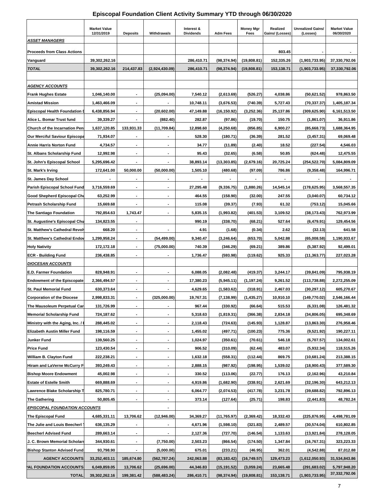## **Episcopal Foundation Client Activity Summary YTD through 06/30/2020**

|                                                               | <b>Market Value</b>      |                                            |                                                      | Interest &           |                      | <b>Money Mgr</b>     | Realized           | Unrealized Gains/          | <b>Market Value</b>      |
|---------------------------------------------------------------|--------------------------|--------------------------------------------|------------------------------------------------------|----------------------|----------------------|----------------------|--------------------|----------------------------|--------------------------|
| <b>ASSET MANAGERS</b>                                         | 12/31/2019               | <b>Deposits</b>                            | Withdrawals                                          | <b>Dividends</b>     | <b>Adm Fees</b>      | Fees                 | Gains/ (Losses)    | (Losses)                   | 06/30/2020               |
|                                                               |                          |                                            |                                                      |                      |                      |                      |                    |                            |                          |
| <b>Proceeds from Class Actions</b>                            |                          |                                            |                                                      |                      |                      |                      | 803.45             |                            |                          |
| Vanguard                                                      | 39,302,262.16            |                                            |                                                      | 286,410.71           | (98, 374.94)         | (19,808.81)          | 152.335.26         | (1,903,733.95)             | 37,330,792.06            |
| <b>TOTAL</b>                                                  | 39,302,262.16            | 214,437.83                                 | (2,924,430.09)                                       | 286,410.71           | (98, 374.94)         | (19,808.81)          | 153,138.71         | (1,903,733.95)             | 37,330,792.06            |
|                                                               |                          |                                            |                                                      |                      |                      |                      |                    |                            |                          |
| <b>AGENCY ACCOUNTS</b>                                        |                          |                                            |                                                      |                      |                      |                      |                    |                            |                          |
| <b>Frank Hughes Estate</b>                                    | 1,046,140.00             |                                            | (25,094.00)                                          | 7,540.12             | (2,613.69)           | (526.27)             | 4,038.86           | (50,621.52)                | 978,863.50               |
| <b>Amistad Mission</b>                                        | 1,463,466.09             |                                            |                                                      | 10,748.11            | (3,676.53)           | (740.39)             | 5,727.43           | (70, 337, 37)              | 1,405,187.34             |
| <b>Episcopal Health Foundation I</b>                          | 6,438,856.94             |                                            | (20, 602.00)                                         | 47,149.88            | (16, 150.92)         | (3,252.36)           | 25,137.86          | (309, 625.90)              | 6,161,513.50             |
| Alice L. Bomar Trust fund                                     | 39,339.27                | $\overline{\phantom{a}}$                   | (882.40)                                             | 282.87               | (97.86)              | (19.70)              | 150.75             | (1,861.07)                 | 36,911.86                |
| Church of the Incarnation Pen                                 | 1,637,120.85             | 133,931.33                                 | (11,709.84)                                          | 12,898.60            | (4,250.68)           | (856.85)             | 6,900.27           | (85,668.73)                | 1,688,364.95             |
| <b>Our Merciful Saviour Episcopa</b>                          | 71,934.07                |                                            |                                                      | 528.30               | (180.71)             | (36.39)              | 281.52             | (3,457.31)                 | 69,069.48                |
| <b>Annie Harris Norton Fund</b>                               | 4,734.57                 |                                            |                                                      | 34.77                | (11.89)              | (2.40)               | 18.52              | (227.54)                   | 4,546.03                 |
| St. Albans Scholarship Fund                                   | 12,992.98                | $\blacksquare$                             | ٠                                                    | 95.43                | (32.65)              | (6.58)               | 50.85              | (624.48)                   | 12,475.55                |
| St. John's Episcopal School                                   | 5,295,696.42             |                                            |                                                      | 38,893.14            | (13, 303.85)         | (2,679.16)           | 20,725.24          | (254, 522.70)              | 5,084,809.09             |
| St. Mark's Irving                                             | 172,641.00               | 50,000.00                                  | (50,000.00)                                          | 1,505.10             | (480.68)             | (97.09)              | 786.86             | (9,358.48)                 | 164,996.71               |
| St. James Day School                                          |                          |                                            |                                                      |                      |                      |                      |                    |                            |                          |
| Parish Episcopal School Fund                                  | 3,716,559.69             | $\overline{\phantom{a}}$                   | ٠                                                    | 27,295.48            | (9, 336.75)          | (1,880.26)           | 14,545.14          | (178, 625.95)              | 3,568,557.35             |
| Good Shepherd Episcopal Chu                                   | 63,252.99                |                                            | $\blacksquare$                                       | 464.55               | (158.90)             | (32.00)              | 247.55             | (3,040.07)                 | 60,734.12                |
| Petrash Scholarship Fund                                      | 15,669.68                |                                            | $\blacksquare$                                       | 115.08               | (39.37)              | (7.93)               | 61.32              | (753.12)                   | 15,045.66                |
| <b>The Santiago Foundation</b>                                | 792,854.63               | 1,743.47                                   | ٠                                                    | 5,835.15             | (1,993.82)           | (401.53)             | 3,109.52           | (38, 173.43)               | 762,973.99               |
| St. Augustine's Episcopal Chu                                 | 134,823.55               | $\overline{\phantom{a}}$                   |                                                      | 990.19               | (338.70)             | (68.21)              | 527.64             | (6,479.91)                 | 129,454.56               |
| St. Matthew's Cathedral Revolv                                | 668.20                   |                                            |                                                      | 4.91                 | (1.68)               | (0.34)               | 2.62               | (32.13)                    | 641.58                   |
| <b>St. Matthew's Cathedral Endov</b>                          | 1,299,958.24             | $\overline{\phantom{a}}$                   | (54, 499.00)                                         | 9,340.47             | (3, 246.64)          | (653.70)             | 5,042.88           | (65,008.58)                | 1,190,933.67             |
| <b>Holy Nativity</b>                                          | 172,172.18               |                                            | (75,000.00)                                          | 740.39               | (346.29)             | (69.21)              | 389.86             | (5,387.92)                 | 92,499.01                |
| <b>ECR - Building Fund</b>                                    | 236,438.85               | $\blacksquare$                             | ٠                                                    | 1,736.47             | (593.98)             | (119.62)             | 925.33             | (11, 363.77)               | 227,023.28               |
| <b>DIOCESAN ACCOUNTS</b>                                      |                          |                                            |                                                      |                      |                      |                      |                    |                            |                          |
| <b>E.D. Farmer Foundation</b>                                 | 828,948.91               | $\blacksquare$                             | $\blacksquare$                                       | 6,088.05             | (2,082.48)           | (419.37)             | 3,244.17           | (39, 841.09)               | 795,938.19               |
| <b>Endowment of the Episcopate</b>                            | 2,366,494.57             |                                            | $\blacksquare$                                       | 17,380.23            | (5,945.11)           | (1, 197.24)          | 9,261.52           | (113, 738.88)              | 2,272,255.09             |
| <b>St. Paul Memorial Fund</b>                                 | 630,373.64               | $\blacksquare$                             | ٠                                                    | 4,629.65             | (1,583.62)           | (318.91)             | 2,467.03           | (30, 297.12)               | 605,270.67               |
| <b>Corporation of the Diocese</b>                             | 2,998,833.31             |                                            | (325,000.00)                                         | 19,767.31            | (7, 138.99)          | (1, 435.27)          | 10,910.10          | (149, 770.02)              | 2,546,166.44             |
| The Mausoleum Perpetual Car                                   | 131,726.99               |                                            | $\overline{\phantom{a}}$                             | 967.44               | (330.92)             | (66.64)              | 515.53             | (6, 331.08)                | 126,481.32               |
| <b>Memorial Scholarship Fund</b>                              | 724,187.62               |                                            |                                                      | 5,318.63             | (1,819.31)           | (366.38)             | 2,834.18           | (34,806.05)                | 695,348.69<br>276,958.46 |
| Ministry with the Aging, Inc. / I                             | 288,445.02<br>198,116.59 | $\overline{\phantom{a}}$                   |                                                      | 2,118.43             | (724.63)             | (145.93)             | 1,128.87           | (13,863.30)                |                          |
| Elizabeth Austin Miller Fund                                  |                          | $\blacksquare$                             | ٠                                                    | 1,455.02             | (497.71)             | (100.23)             | 775.36             | (9,521.92)                 | 190,227.11               |
| Junker Fund                                                   | 139,560.25               | $\overline{\phantom{a}}$                   | $\overline{\phantom{a}}$<br>$\overline{\phantom{a}}$ | 1,024.97             | (350.61)             | (70.61)              | 546.18             | (6,707.57)                 | 134,002.61               |
| <b>Price Fund</b>                                             | 123,430.54               |                                            |                                                      | 906.52               | (310.09)             | (62.44)              | 483.07             | (5,932.34)                 | 118,515.26               |
| William B. Clayton Fund<br><b>Hiram and LaVerne McCurry F</b> | 222,238.21<br>393,249.43 | $\overline{\phantom{a}}$<br>$\blacksquare$ | $\overline{\phantom{a}}$                             | 1,632.18<br>2,888.15 | (558.31)<br>(987.92) | (112.44)<br>(198.95) | 869.75<br>1,539.02 | (10,681.24)<br>(18,900.43) | 213,388.15<br>377,589.30 |
| <b>Bishop Moore Endowment</b>                                 | 45,002.98                | ٠                                          | ۰                                                    | 330.52               | (113.06)             | (22.77)              | 176.13             | (2, 162.96)                | 43,210.84                |
| <b>Estate of Estelle Smith</b>                                | 669,888.69               |                                            | $\overline{\phantom{a}}$                             | 4,919.86             | (1,682.90)           | (338.91)             | 2,621.69           | (32, 196.30)               | 643,212.13               |
| Lawrence Blake Scholarship T                                  | 825,780.71               | $\overline{\phantom{a}}$                   |                                                      | 6,064.77             | (2,074.53)           | (417.78)             | 3,231.78           | (39, 688.82)               | 792,896.13               |
| <b>The Gathering</b>                                          | 50,805.45                | $\overline{\phantom{a}}$                   | $\overline{\phantom{a}}$                             | 373.14               | (127.64)             | (25.71)              | 198.83             | (2, 441.83)                | 48,782.24                |
| <u>EPISCOPAL FOUNDATION ACCOUNTS</u>                          |                          |                                            |                                                      |                      |                      |                      |                    |                            |                          |
| The Episcopal Fund                                            | 4,685,331.11             | 13,706.62                                  | (12,946.00)                                          | 34,369.27            | (11, 765.97)         | (2,369.42)           | 18,332.43          | (225, 876.95)              | 4,498,781.09             |
| The Julie and Louis Beecherl                                  | 636,135.29               | $\blacksquare$                             | ٠                                                    | 4,671.96             | (1,598.10)           | (321.83)             | 2,489.57           | (30, 574.04)               | 610,802.85               |
| <b>Beecherl Advised Fund</b>                                  | 289,663.14               | $\blacksquare$                             |                                                      | 2,127.36             | (727.70)             | (146.54)             | 1,133.63           | (13,921.84)                | 278,128.05               |
| J. C. Brown Memorial Scholars                                 | 344,930.61               |                                            | (7,750.00)                                           | 2,503.23             | (866.54)             | (174.50)             | 1,347.84           | (16, 767.31)               | 323,223.33               |
| <b>Bishop Stanton Advised Fund</b>                            | 93,798.90                |                                            | (5,000.00)                                           | 675.01               | (233.21)             | (46.95)              | 362.01             | (4,542.88)                 | 87,012.88                |
| <b>AGENCY ACCOUNTS</b>                                        | 33,252,403.11            | 185,674.80                                 | (562,787.24)                                         | 242,063.88           | (83, 183.42)         | (16,749.57)          | 129,473.23         | (1,612,050.93)             | 31,534,843.86            |
| AL FOUNDATION ACCOUNTS                                        | 6,049,859.05             | 13,706.62                                  | (25, 696.00)                                         | 44,346.83            | (15, 191.52)         | (3,059.24)           | 23,665.48          | (291,683.02)               | 5,797,948.20             |
| <b>TOTAL</b>                                                  | 39,302,262.16            | 199,381.42                                 | (588, 483.24)                                        | 286,410.71           | (98, 374.94)         | (19,808.81)          | 153,138.71         | (1,903,733.95)             | 37,332,792.06            |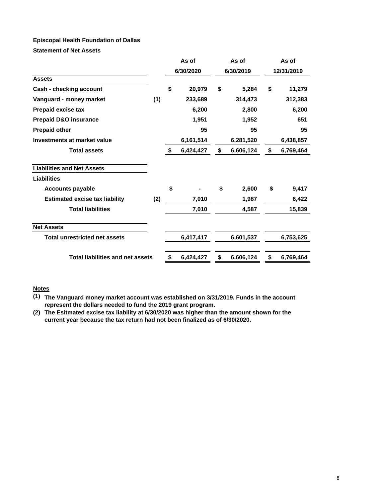#### **Episcopal Health Foundation of Dallas**

**Statement of Net Assets**

|                                         |     | As of           | As of           | As of      |           |  |
|-----------------------------------------|-----|-----------------|-----------------|------------|-----------|--|
|                                         |     | 6/30/2020       | 6/30/2019       | 12/31/2019 |           |  |
| <b>Assets</b>                           |     |                 |                 |            |           |  |
| Cash - checking account                 |     | \$<br>20,979    | \$<br>5,284     | \$         | 11,279    |  |
| Vanguard - money market                 | (1) | 233,689         | 314,473         |            | 312,383   |  |
| <b>Prepaid excise tax</b>               |     | 6,200           | 2,800           |            | 6,200     |  |
| <b>Prepaid D&amp;O insurance</b>        |     | 1,951           | 1,952           |            | 651       |  |
| <b>Prepaid other</b>                    |     | 95              | 95              |            | 95        |  |
| Investments at market value             |     | 6,161,514       | 6,281,520       |            | 6,438,857 |  |
| <b>Total assets</b>                     |     | \$<br>6,424,427 | \$<br>6,606,124 | \$         | 6,769,464 |  |
| <b>Liabilities and Net Assets</b>       |     |                 |                 |            |           |  |
| Liabilities                             |     |                 |                 |            |           |  |
| <b>Accounts payable</b>                 |     | \$              | \$<br>2,600     | \$         | 9,417     |  |
| <b>Estimated excise tax liability</b>   | (2) | 7,010           | 1,987           |            | 6,422     |  |
| <b>Total liabilities</b>                |     | 7,010           | 4,587           |            | 15,839    |  |
| <b>Net Assets</b>                       |     |                 |                 |            |           |  |
| <b>Total unrestricted net assets</b>    |     | 6,417,417       | 6,601,537       |            | 6,753,625 |  |
| <b>Total liabilities and net assets</b> |     | \$<br>6,424,427 | \$<br>6,606,124 | \$         | 6,769,464 |  |

#### **Notes**

- **(1) The Vanguard money market account was established on 3/31/2019. Funds in the account represent the dollars needed to fund the 2019 grant program.**
- **(2) The Esitmated excise tax liability at 6/30/2020 was higher than the amount shown for the current year because the tax return had not been finalized as of 6/30/2020.**